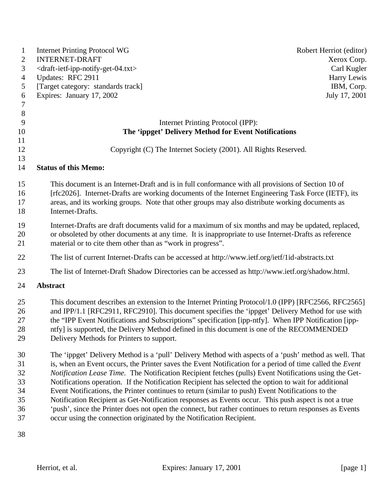| 1              | <b>Internet Printing Protocol WG</b>                                                                          | Robert Herriot (editor) |
|----------------|---------------------------------------------------------------------------------------------------------------|-------------------------|
| 2              | <b>INTERNET-DRAFT</b>                                                                                         | Xerox Corp.             |
| 3              | <draft-ietf-ipp-notify-get-04.txt></draft-ietf-ipp-notify-get-04.txt>                                         | Carl Kugler             |
| $\overline{4}$ | Updates: RFC 2911                                                                                             | Harry Lewis             |
| 5              | [Target category: standards track]                                                                            | IBM, Corp.              |
| 6              | Expires: January 17, 2002                                                                                     | July 17, 2001           |
| $\tau$         |                                                                                                               |                         |
| $\,8\,$        |                                                                                                               |                         |
| 9              | Internet Printing Protocol (IPP):                                                                             |                         |
| 10             | The 'ippget' Delivery Method for Event Notifications                                                          |                         |
| 11<br>12       | Copyright (C) The Internet Society (2001). All Rights Reserved.                                               |                         |
| 13             |                                                                                                               |                         |
| 14             | <b>Status of this Memo:</b>                                                                                   |                         |
| 15             | This document is an Internet-Draft and is in full conformance with all provisions of Section 10 of            |                         |
| 16             | [rfc2026]. Internet-Drafts are working documents of the Internet Engineering Task Force (IETF), its           |                         |
| 17             | areas, and its working groups. Note that other groups may also distribute working documents as                |                         |
| 18             | Internet-Drafts.                                                                                              |                         |
| 19             | Internet-Drafts are draft documents valid for a maximum of six months and may be updated, replaced,           |                         |
| 20             | or obsoleted by other documents at any time. It is inappropriate to use Internet-Drafts as reference          |                         |
| 21             | material or to cite them other than as "work in progress".                                                    |                         |
| 22             | The list of current Internet-Drafts can be accessed at http://www.ietf.org/ietf/1id-abstracts.txt             |                         |
| 23             | The list of Internet-Draft Shadow Directories can be accessed as http://www.ietf.org/shadow.html.             |                         |
| 24             | Abstract                                                                                                      |                         |
| 25             | This document describes an extension to the Internet Printing Protocol/1.0 (IPP) [RFC2566, RFC2565]           |                         |
| 26             | and IPP/1.1 [RFC2911, RFC2910]. This document specifies the 'ippget' Delivery Method for use with             |                         |
| 27             | the "IPP Event Notifications and Subscriptions" specification [ipp-ntfy]. When IPP Notification [ipp-         |                         |
| 28             | ntfy] is supported, the Delivery Method defined in this document is one of the RECOMMENDED                    |                         |
| 29             | Delivery Methods for Printers to support.                                                                     |                         |
| 30             | The 'ippget' Delivery Method is a 'pull' Delivery Method with aspects of a 'push' method as well. That        |                         |
| 31             | is, when an Event occurs, the Printer saves the Event Notification for a period of time called the Event      |                         |
| 32             | <i>Notification Lease Time.</i> The Notification Recipient fetches (pulls) Event Notifications using the Get- |                         |
| 33             | Notifications operation. If the Notification Recipient has selected the option to wait for additional         |                         |
| 34             | Event Notifications, the Printer continues to return (similar to push) Event Notifications to the             |                         |
| 35             | Notification Recipient as Get-Notification responses as Events occur. This push aspect is not a true          |                         |
| 36             | 'push', since the Printer does not open the connect, but rather continues to return responses as Events       |                         |
| 37             | occur using the connection originated by the Notification Recipient.                                          |                         |
| 38             |                                                                                                               |                         |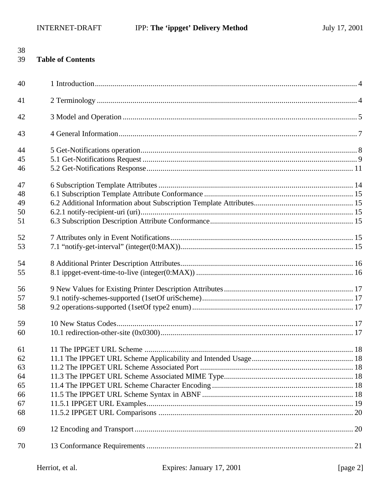38

| <b>Table of Contents</b><br>39 |  |  |
|--------------------------------|--|--|
| 40                             |  |  |
| 41                             |  |  |
| 42                             |  |  |
| 43                             |  |  |
| 44                             |  |  |
| 45                             |  |  |
| 46                             |  |  |
| 47                             |  |  |
| 48                             |  |  |
| 49                             |  |  |
| 50                             |  |  |
| 51                             |  |  |
| 52                             |  |  |
| 53                             |  |  |
| 54                             |  |  |
| 55                             |  |  |
| 56                             |  |  |
| 57                             |  |  |
| 58                             |  |  |
| 59                             |  |  |
| 60                             |  |  |
| 61                             |  |  |
| 62                             |  |  |
| 63                             |  |  |
| 64                             |  |  |
| 65                             |  |  |
| 66                             |  |  |
| 67                             |  |  |
| 68                             |  |  |
| 69                             |  |  |
| 70                             |  |  |
|                                |  |  |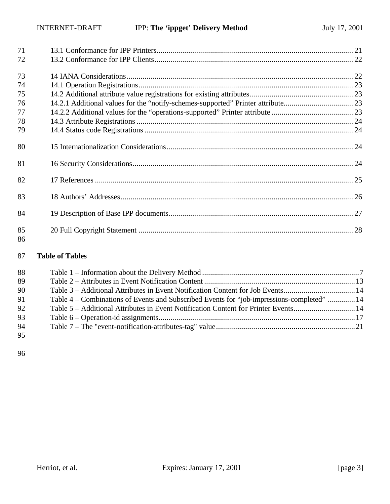| 71       |  |
|----------|--|
| 72       |  |
| 73       |  |
| 74       |  |
| 75       |  |
| 76       |  |
| 77       |  |
| 78       |  |
| 79       |  |
| 80       |  |
| 81       |  |
| 82       |  |
| 83       |  |
| 84       |  |
| 85<br>86 |  |

## **Table of Tables**

| 88 |                                                                                            |  |
|----|--------------------------------------------------------------------------------------------|--|
| 89 |                                                                                            |  |
| 90 | Table 3 – Additional Attributes in Event Notification Content for Job Events14             |  |
| 91 | Table 4 – Combinations of Events and Subscribed Events for "job-impressions-completed"  14 |  |
| 92 | Table 5 – Additional Attributes in Event Notification Content for Printer Events14         |  |
| 93 |                                                                                            |  |
| 94 |                                                                                            |  |
| 95 |                                                                                            |  |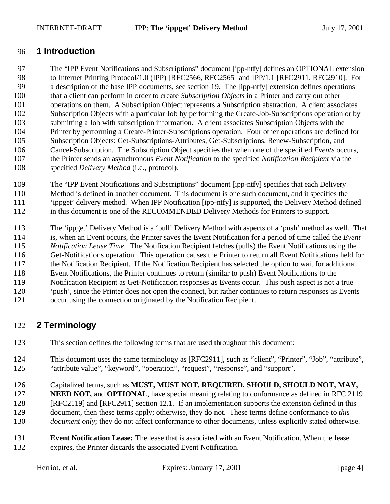## **1 Introduction**

 The "IPP Event Notifications and Subscriptions" document [ipp-ntfy] defines an OPTIONAL extension to Internet Printing Protocol/1.0 (IPP) [RFC2566, RFC2565] and IPP/1.1 [RFC2911, RFC2910]. For a description of the base IPP documents, see section 19. The [ipp-ntfy] extension defines operations that a client can perform in order to create *Subscription Objects* in a Printer and carry out other operations on them. A Subscription Object represents a Subscription abstraction. A client associates Subscription Objects with a particular Job by performing the Create-Job-Subscriptions operation or by submitting a Job with subscription information. A client associates Subscription Objects with the Printer by performing a Create-Printer-Subscriptions operation. Four other operations are defined for Subscription Objects: Get-Subscriptions-Attributes, Get-Subscriptions, Renew-Subscription, and Cancel-Subscription. The Subscription Object specifies that when one of the specified *Events* occurs, the Printer sends an asynchronous *Event Notification* to the specified *Notification Recipient* via the specified *Delivery Method* (i.e., protocol).

 The "IPP Event Notifications and Subscriptions" document [ipp-ntfy] specifies that each Delivery Method is defined in another document. This document is one such document, and it specifies the 'ippget' delivery method. When IPP Notification [ipp-ntfy] is supported, the Delivery Method defined in this document is one of the RECOMMENDED Delivery Methods for Printers to support.

 The 'ippget' Delivery Method is a 'pull' Delivery Method with aspects of a 'push' method as well. That is, when an Event occurs, the Printer saves the Event Notification for a period of time called the *Event Notification Lease Time.* The Notification Recipient fetches (pulls) the Event Notifications using the Get-Notifications operation. This operation causes the Printer to return all Event Notifications held for the Notification Recipient. If the Notification Recipient has selected the option to wait for additional Event Notifications, the Printer continues to return (similar to push) Event Notifications to the Notification Recipient as Get-Notification responses as Events occur. This push aspect is not a true

- 'push', since the Printer does not open the connect, but rather continues to return responses as Events
- occur using the connection originated by the Notification Recipient.

# **2 Terminology**

- This section defines the following terms that are used throughout this document:
- This document uses the same terminology as [RFC2911], such as "client", "Printer", "Job", "attribute", "attribute value", "keyword", "operation", "request", "response", and "support".
- Capitalized terms, such as **MUST, MUST NOT, REQUIRED, SHOULD, SHOULD NOT, MAY,**
- 127 **NEED NOT, and <b>OPTIONAL**, have special meaning relating to conformance as defined in RFC 2119 [RFC2119] and [RFC2911] section 12.1. If an implementation supports the extension defined in this document, then these terms apply; otherwise, they do not. These terms define conformance to *this*
- *document only*; they do not affect conformance to other documents, unless explicitly stated otherwise.
- **Event Notification Lease:** The lease that is associated with an Event Notification. When the lease expires, the Printer discards the associated Event Notification.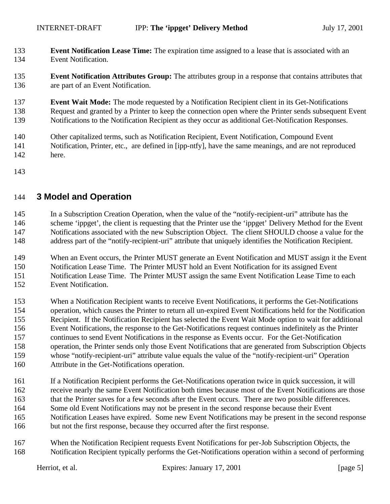- **Event Notification Lease Time:** The expiration time assigned to a lease that is associated with an Event Notification.
- **Event Notification Attributes Group:** The attributes group in a response that contains attributes that are part of an Event Notification.
- **Event Wait Mode:** The mode requested by a Notification Recipient client in its Get-Notifications Request and granted by a Printer to keep the connection open where the Printer sends subsequent Event Notifications to the Notification Recipient as they occur as additional Get-Notification Responses.
- Other capitalized terms, such as Notification Recipient, Event Notification, Compound Event
- Notification, Printer, etc., are defined in [ipp-ntfy], have the same meanings, and are not reproduced
- here.
- 

## **3 Model and Operation**

 In a Subscription Creation Operation, when the value of the "notify-recipient-uri" attribute has the scheme 'ippget', the client is requesting that the Printer use the 'ippget' Delivery Method for the Event Notifications associated with the new Subscription Object. The client SHOULD choose a value for the address part of the "notify-recipient-uri" attribute that uniquely identifies the Notification Recipient.

 When an Event occurs, the Printer MUST generate an Event Notification and MUST assign it the Event Notification Lease Time. The Printer MUST hold an Event Notification for its assigned Event Notification Lease Time. The Printer MUST assign the same Event Notification Lease Time to each Event Notification.

- When a Notification Recipient wants to receive Event Notifications, it performs the Get-Notifications operation, which causes the Printer to return all un-expired Event Notifications held for the Notification Recipient. If the Notification Recipient has selected the Event Wait Mode option to wait for additional Event Notifications, the response to the Get-Notifications request continues indefinitely as the Printer continues to send Event Notifications in the response as Events occur. For the Get-Notification operation, the Printer sends only those Event Notifications that are generated from Subscription Objects whose "notify-recipient-uri" attribute value equals the value of the "notify-recipient-uri" Operation Attribute in the Get-Notifications operation.
- If a Notification Recipient performs the Get-Notifications operation twice in quick succession, it will receive nearly the same Event Notification both times because most of the Event Notifications are those that the Printer saves for a few seconds after the Event occurs. There are two possible differences. Some old Event Notifications may not be present in the second response because their Event Notification Leases have expired. Some new Event Notifications may be present in the second response but not the first response, because they occurred after the first response.
- When the Notification Recipient requests Event Notifications for per-Job Subscription Objects, the Notification Recipient typically performs the Get-Notifications operation within a second of performing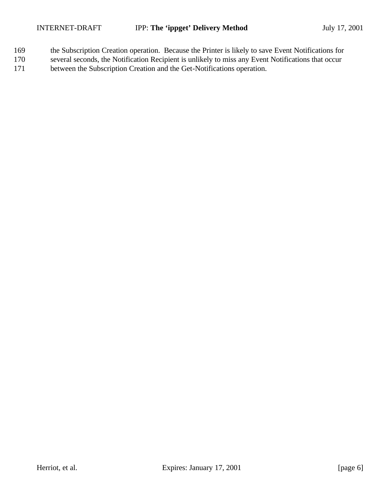- 169 the Subscription Creation operation. Because the Printer is likely to save Event Notifications for
- 170 several seconds, the Notification Recipient is unlikely to miss any Event Notifications that occur 171 between the Subscription Creation and the Get-Notifications operation.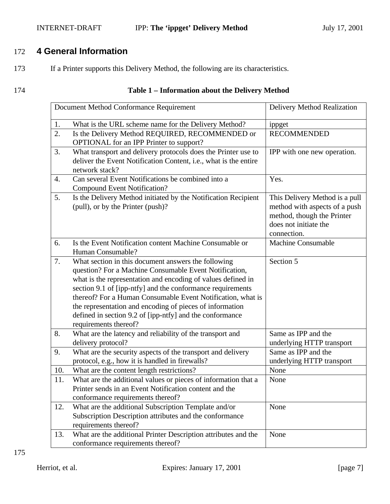## INTERNET-DRAFT **IPP:** The 'ippget' Delivery Method July 17, 2001

# 172 **4 General Information**

- 173 If a Printer supports this Delivery Method, the following are its characteristics.
- 

## 174 **Table 1 – Information about the Delivery Method**

|                  | Document Method Conformance Requirement                                                                                                                                                                                                                                                                                                                                                                                                                     | Delivery Method Realization                                                                                                           |
|------------------|-------------------------------------------------------------------------------------------------------------------------------------------------------------------------------------------------------------------------------------------------------------------------------------------------------------------------------------------------------------------------------------------------------------------------------------------------------------|---------------------------------------------------------------------------------------------------------------------------------------|
| 1.               | What is the URL scheme name for the Delivery Method?                                                                                                                                                                                                                                                                                                                                                                                                        | ippget                                                                                                                                |
| 2.               | Is the Delivery Method REQUIRED, RECOMMENDED or<br>OPTIONAL for an IPP Printer to support?                                                                                                                                                                                                                                                                                                                                                                  | <b>RECOMMENDED</b>                                                                                                                    |
| 3.               | What transport and delivery protocols does the Printer use to<br>deliver the Event Notification Content, i.e., what is the entire<br>network stack?                                                                                                                                                                                                                                                                                                         | IPP with one new operation.                                                                                                           |
| $\overline{4}$ . | Can several Event Notifications be combined into a<br><b>Compound Event Notification?</b>                                                                                                                                                                                                                                                                                                                                                                   | Yes.                                                                                                                                  |
| 5.               | Is the Delivery Method initiated by the Notification Recipient<br>(pull), or by the Printer (push)?                                                                                                                                                                                                                                                                                                                                                         | This Delivery Method is a pull<br>method with aspects of a push<br>method, though the Printer<br>does not initiate the<br>connection. |
| 6.               | Is the Event Notification content Machine Consumable or<br>Human Consumable?                                                                                                                                                                                                                                                                                                                                                                                | <b>Machine Consumable</b>                                                                                                             |
| 7.               | What section in this document answers the following<br>question? For a Machine Consumable Event Notification,<br>what is the representation and encoding of values defined in<br>section 9.1 of [ipp-ntfy] and the conformance requirements<br>thereof? For a Human Consumable Event Notification, what is<br>the representation and encoding of pieces of information<br>defined in section 9.2 of [ipp-ntfy] and the conformance<br>requirements thereof? | Section 5                                                                                                                             |
| 8.               | What are the latency and reliability of the transport and<br>delivery protocol?                                                                                                                                                                                                                                                                                                                                                                             | Same as IPP and the<br>underlying HTTP transport                                                                                      |
| 9.               | What are the security aspects of the transport and delivery<br>protocol, e.g., how it is handled in firewalls?                                                                                                                                                                                                                                                                                                                                              | Same as IPP and the<br>underlying HTTP transport                                                                                      |
| 10.              | What are the content length restrictions?                                                                                                                                                                                                                                                                                                                                                                                                                   | None                                                                                                                                  |
| 11.              | What are the additional values or pieces of information that a<br>Printer sends in an Event Notification content and the<br>conformance requirements thereof?                                                                                                                                                                                                                                                                                               | None                                                                                                                                  |
| 12.              | What are the additional Subscription Template and/or<br>Subscription Description attributes and the conformance<br>requirements thereof?                                                                                                                                                                                                                                                                                                                    | None                                                                                                                                  |
| 13.              | What are the additional Printer Description attributes and the<br>conformance requirements thereof?                                                                                                                                                                                                                                                                                                                                                         | None                                                                                                                                  |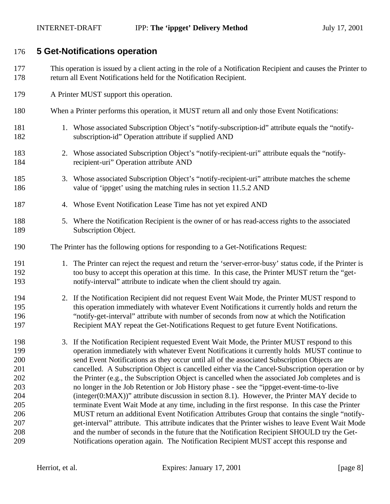## **5 Get-Notifications operation**

- This operation is issued by a client acting in the role of a Notification Recipient and causes the Printer to return all Event Notifications held for the Notification Recipient.
- A Printer MUST support this operation.
- When a Printer performs this operation, it MUST return all and only those Event Notifications:
- 1. Whose associated Subscription Object's "notify-subscription-id" attribute equals the "notify-subscription-id" Operation attribute if supplied AND
- 2. Whose associated Subscription Object's "notify-recipient-uri" attribute equals the "notify-recipient-uri" Operation attribute AND
- 3. Whose associated Subscription Object's "notify-recipient-uri" attribute matches the scheme value of 'ippget' using the matching rules in section 11.5.2 AND
- 4. Whose Event Notification Lease Time has not yet expired AND
- 5. Where the Notification Recipient is the owner of or has read-access rights to the associated Subscription Object.
- The Printer has the following options for responding to a Get-Notifications Request:
- 191 1. The Printer can reject the request and return the 'server-error-busy' status code, if the Printer is too busy to accept this operation at this time. In this case, the Printer MUST return the "get-notify-interval" attribute to indicate when the client should try again.
- 2. If the Notification Recipient did not request Event Wait Mode, the Printer MUST respond to this operation immediately with whatever Event Notifications it currently holds and return the "notify-get-interval" attribute with number of seconds from now at which the Notification Recipient MAY repeat the Get-Notifications Request to get future Event Notifications.
- 3. If the Notification Recipient requested Event Wait Mode, the Printer MUST respond to this operation immediately with whatever Event Notifications it currently holds MUST continue to send Event Notifications as they occur until all of the associated Subscription Objects are cancelled. A Subscription Object is cancelled either via the Cancel-Subscription operation or by 202 the Printer (e.g., the Subscription Object is cancelled when the associated Job completes and is no longer in the Job Retention or Job History phase - see the "ippget-event-time-to-live (integer(0:MAX))" attribute discussion in section 8.1). However, the Printer MAY decide to terminate Event Wait Mode at any time, including in the first response. In this case the Printer MUST return an additional Event Notification Attributes Group that contains the single "notify- get-interval" attribute. This attribute indicates that the Printer wishes to leave Event Wait Mode and the number of seconds in the future that the Notification Recipient SHOULD try the Get-Notifications operation again. The Notification Recipient MUST accept this response and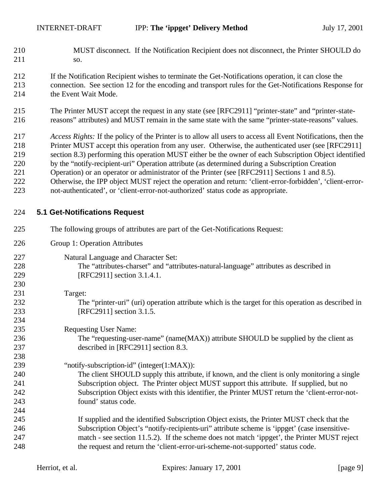- MUST disconnect. If the Notification Recipient does not disconnect, the Printer SHOULD do so.
- If the Notification Recipient wishes to terminate the Get-Notifications operation, it can close the connection. See section 12 for the encoding and transport rules for the Get-Notifications Response for 214 the Event Wait Mode.
- The Printer MUST accept the request in any state (see [RFC2911] "printer-state" and "printer-state-reasons" attributes) and MUST remain in the same state with the same "printer-state-reasons" values.

 *Access Rights:* If the policy of the Printer is to allow all users to access all Event Notifications, then the Printer MUST accept this operation from any user. Otherwise, the authenticated user (see [RFC2911]

- section 8.3) performing this operation MUST either be the owner of each Subscription Object identified
- by the "notify-recipient-uri" Operation attribute (as determined during a Subscription Creation
- Operation) or an operator or administrator of the Printer (see [RFC2911] Sections 1 and 8.5).
- Otherwise, the IPP object MUST reject the operation and return: 'client-error-forbidden', 'client-error-not-authenticated', or 'client-error-not-authorized' status code as appropriate.

### **5.1 Get-Notifications Request**

 The following groups of attributes are part of the Get-Notifications Request: Group 1: Operation Attributes Natural Language and Character Set: The "attributes-charset" and "attributes-natural-language" attributes as described in [RFC2911] section 3.1.4.1. Target: The "printer-uri" (uri) operation attribute which is the target for this operation as described in [RFC2911] section 3.1.5. Requesting User Name: 236 The "requesting-user-name" (name(MAX)) attribute SHOULD be supplied by the client as described in [RFC2911] section 8.3. "notify-subscription-id" (integer(1:MAX)): The client SHOULD supply this attribute, if known, and the client is only monitoring a single Subscription object. The Printer object MUST support this attribute. If supplied, but no Subscription Object exists with this identifier, the Printer MUST return the 'client-error-not- found' status code. If supplied and the identified Subscription Object exists, the Printer MUST check that the Subscription Object's "notify-recipients-uri" attribute scheme is 'ippget' (case insensitive- match - see section 11.5.2). If the scheme does not match 'ippget', the Printer MUST reject the request and return the 'client-error-uri-scheme-not-supported' status code.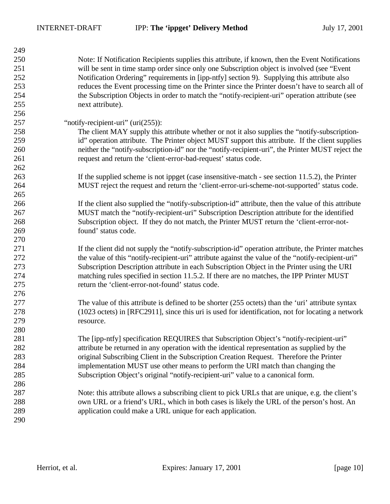| Note: If Notification Recipients supplies this attribute, if known, then the Event Notifications<br>will be sent in time stamp order since only one Subscription object is involved (see "Event"<br>Notification Ordering" requirements in [ipp-ntfy] section 9). Supplying this attribute also<br>253<br>reduces the Event processing time on the Printer since the Printer doesn't have to search all of<br>254<br>the Subscription Objects in order to match the "notify-recipient-uri" operation attribute (see<br>255<br>next attribute).<br>256<br>257<br>"notify-recipient-uri" (uri(255)):<br>258<br>The client MAY supply this attribute whether or not it also supplies the "notify-subscription-<br>id" operation attribute. The Printer object MUST support this attribute. If the client supplies<br>259<br>neither the "notify-subscription-id" nor the "notify-recipient-uri", the Printer MUST reject the<br>260<br>261<br>request and return the 'client-error-bad-request' status code.<br>262<br>263<br>If the supplied scheme is not ippget (case insensitive-match - see section 11.5.2), the Printer<br>264<br>MUST reject the request and return the 'client-error-uri-scheme-not-supported' status code.<br>265<br>266<br>If the client also supplied the "notify-subscription-id" attribute, then the value of this attribute<br>MUST match the "notify-recipient-uri" Subscription Description attribute for the identified<br>267<br>Subscription object. If they do not match, the Printer MUST return the 'client-error-not-<br>268<br>found' status code.<br>269<br>270<br>271<br>If the client did not supply the "notify-subscription-id" operation attribute, the Printer matches<br>272<br>the value of this "notify-recipient-uri" attribute against the value of the "notify-recipient-uri"<br>Subscription Description attribute in each Subscription Object in the Printer using the URI<br>273<br>matching rules specified in section 11.5.2. If there are no matches, the IPP Printer MUST<br>274<br>return the 'client-error-not-found' status code.<br>275<br>276<br>277<br>The value of this attribute is defined to be shorter $(255 \text{ octets})$ than the 'uri' attribute syntax<br>278<br>(1023 octets) in [RFC2911], since this uri is used for identification, not for locating a network<br>279<br>resource.<br>280<br>The [ipp-ntfy] specification REQUIRES that Subscription Object's "notify-recipient-uri"<br>281<br>282<br>attribute be returned in any operation with the identical representation as supplied by the<br>283<br>original Subscribing Client in the Subscription Creation Request. Therefore the Printer<br>implementation MUST use other means to perform the URI match than changing the<br>284<br>285<br>Subscription Object's original "notify-recipient-uri" value to a canonical form.<br>286<br>287<br>Note: this attribute allows a subscribing client to pick URLs that are unique, e.g. the client's<br>288<br>own URL or a friend's URL, which in both cases is likely the URL of the person's host. An<br>289<br>application could make a URL unique for each application. | 249 |  |
|------------------------------------------------------------------------------------------------------------------------------------------------------------------------------------------------------------------------------------------------------------------------------------------------------------------------------------------------------------------------------------------------------------------------------------------------------------------------------------------------------------------------------------------------------------------------------------------------------------------------------------------------------------------------------------------------------------------------------------------------------------------------------------------------------------------------------------------------------------------------------------------------------------------------------------------------------------------------------------------------------------------------------------------------------------------------------------------------------------------------------------------------------------------------------------------------------------------------------------------------------------------------------------------------------------------------------------------------------------------------------------------------------------------------------------------------------------------------------------------------------------------------------------------------------------------------------------------------------------------------------------------------------------------------------------------------------------------------------------------------------------------------------------------------------------------------------------------------------------------------------------------------------------------------------------------------------------------------------------------------------------------------------------------------------------------------------------------------------------------------------------------------------------------------------------------------------------------------------------------------------------------------------------------------------------------------------------------------------------------------------------------------------------------------------------------------------------------------------------------------------------------------------------------------------------------------------------------------------------------------------------------------------------------------------------------------------------------------------------------------------------------------------------------------------------------------------------------------------------------------------------------------------------------------------------------------------------------------------------------------------------------------------------------------------------------------------------------------------------------------------------------------------------------|-----|--|
|                                                                                                                                                                                                                                                                                                                                                                                                                                                                                                                                                                                                                                                                                                                                                                                                                                                                                                                                                                                                                                                                                                                                                                                                                                                                                                                                                                                                                                                                                                                                                                                                                                                                                                                                                                                                                                                                                                                                                                                                                                                                                                                                                                                                                                                                                                                                                                                                                                                                                                                                                                                                                                                                                                                                                                                                                                                                                                                                                                                                                                                                                                                                                                  | 250 |  |
|                                                                                                                                                                                                                                                                                                                                                                                                                                                                                                                                                                                                                                                                                                                                                                                                                                                                                                                                                                                                                                                                                                                                                                                                                                                                                                                                                                                                                                                                                                                                                                                                                                                                                                                                                                                                                                                                                                                                                                                                                                                                                                                                                                                                                                                                                                                                                                                                                                                                                                                                                                                                                                                                                                                                                                                                                                                                                                                                                                                                                                                                                                                                                                  | 251 |  |
|                                                                                                                                                                                                                                                                                                                                                                                                                                                                                                                                                                                                                                                                                                                                                                                                                                                                                                                                                                                                                                                                                                                                                                                                                                                                                                                                                                                                                                                                                                                                                                                                                                                                                                                                                                                                                                                                                                                                                                                                                                                                                                                                                                                                                                                                                                                                                                                                                                                                                                                                                                                                                                                                                                                                                                                                                                                                                                                                                                                                                                                                                                                                                                  | 252 |  |
|                                                                                                                                                                                                                                                                                                                                                                                                                                                                                                                                                                                                                                                                                                                                                                                                                                                                                                                                                                                                                                                                                                                                                                                                                                                                                                                                                                                                                                                                                                                                                                                                                                                                                                                                                                                                                                                                                                                                                                                                                                                                                                                                                                                                                                                                                                                                                                                                                                                                                                                                                                                                                                                                                                                                                                                                                                                                                                                                                                                                                                                                                                                                                                  |     |  |
|                                                                                                                                                                                                                                                                                                                                                                                                                                                                                                                                                                                                                                                                                                                                                                                                                                                                                                                                                                                                                                                                                                                                                                                                                                                                                                                                                                                                                                                                                                                                                                                                                                                                                                                                                                                                                                                                                                                                                                                                                                                                                                                                                                                                                                                                                                                                                                                                                                                                                                                                                                                                                                                                                                                                                                                                                                                                                                                                                                                                                                                                                                                                                                  |     |  |
|                                                                                                                                                                                                                                                                                                                                                                                                                                                                                                                                                                                                                                                                                                                                                                                                                                                                                                                                                                                                                                                                                                                                                                                                                                                                                                                                                                                                                                                                                                                                                                                                                                                                                                                                                                                                                                                                                                                                                                                                                                                                                                                                                                                                                                                                                                                                                                                                                                                                                                                                                                                                                                                                                                                                                                                                                                                                                                                                                                                                                                                                                                                                                                  |     |  |
|                                                                                                                                                                                                                                                                                                                                                                                                                                                                                                                                                                                                                                                                                                                                                                                                                                                                                                                                                                                                                                                                                                                                                                                                                                                                                                                                                                                                                                                                                                                                                                                                                                                                                                                                                                                                                                                                                                                                                                                                                                                                                                                                                                                                                                                                                                                                                                                                                                                                                                                                                                                                                                                                                                                                                                                                                                                                                                                                                                                                                                                                                                                                                                  |     |  |
|                                                                                                                                                                                                                                                                                                                                                                                                                                                                                                                                                                                                                                                                                                                                                                                                                                                                                                                                                                                                                                                                                                                                                                                                                                                                                                                                                                                                                                                                                                                                                                                                                                                                                                                                                                                                                                                                                                                                                                                                                                                                                                                                                                                                                                                                                                                                                                                                                                                                                                                                                                                                                                                                                                                                                                                                                                                                                                                                                                                                                                                                                                                                                                  |     |  |
|                                                                                                                                                                                                                                                                                                                                                                                                                                                                                                                                                                                                                                                                                                                                                                                                                                                                                                                                                                                                                                                                                                                                                                                                                                                                                                                                                                                                                                                                                                                                                                                                                                                                                                                                                                                                                                                                                                                                                                                                                                                                                                                                                                                                                                                                                                                                                                                                                                                                                                                                                                                                                                                                                                                                                                                                                                                                                                                                                                                                                                                                                                                                                                  |     |  |
|                                                                                                                                                                                                                                                                                                                                                                                                                                                                                                                                                                                                                                                                                                                                                                                                                                                                                                                                                                                                                                                                                                                                                                                                                                                                                                                                                                                                                                                                                                                                                                                                                                                                                                                                                                                                                                                                                                                                                                                                                                                                                                                                                                                                                                                                                                                                                                                                                                                                                                                                                                                                                                                                                                                                                                                                                                                                                                                                                                                                                                                                                                                                                                  |     |  |
|                                                                                                                                                                                                                                                                                                                                                                                                                                                                                                                                                                                                                                                                                                                                                                                                                                                                                                                                                                                                                                                                                                                                                                                                                                                                                                                                                                                                                                                                                                                                                                                                                                                                                                                                                                                                                                                                                                                                                                                                                                                                                                                                                                                                                                                                                                                                                                                                                                                                                                                                                                                                                                                                                                                                                                                                                                                                                                                                                                                                                                                                                                                                                                  |     |  |
|                                                                                                                                                                                                                                                                                                                                                                                                                                                                                                                                                                                                                                                                                                                                                                                                                                                                                                                                                                                                                                                                                                                                                                                                                                                                                                                                                                                                                                                                                                                                                                                                                                                                                                                                                                                                                                                                                                                                                                                                                                                                                                                                                                                                                                                                                                                                                                                                                                                                                                                                                                                                                                                                                                                                                                                                                                                                                                                                                                                                                                                                                                                                                                  |     |  |
|                                                                                                                                                                                                                                                                                                                                                                                                                                                                                                                                                                                                                                                                                                                                                                                                                                                                                                                                                                                                                                                                                                                                                                                                                                                                                                                                                                                                                                                                                                                                                                                                                                                                                                                                                                                                                                                                                                                                                                                                                                                                                                                                                                                                                                                                                                                                                                                                                                                                                                                                                                                                                                                                                                                                                                                                                                                                                                                                                                                                                                                                                                                                                                  |     |  |
|                                                                                                                                                                                                                                                                                                                                                                                                                                                                                                                                                                                                                                                                                                                                                                                                                                                                                                                                                                                                                                                                                                                                                                                                                                                                                                                                                                                                                                                                                                                                                                                                                                                                                                                                                                                                                                                                                                                                                                                                                                                                                                                                                                                                                                                                                                                                                                                                                                                                                                                                                                                                                                                                                                                                                                                                                                                                                                                                                                                                                                                                                                                                                                  |     |  |
|                                                                                                                                                                                                                                                                                                                                                                                                                                                                                                                                                                                                                                                                                                                                                                                                                                                                                                                                                                                                                                                                                                                                                                                                                                                                                                                                                                                                                                                                                                                                                                                                                                                                                                                                                                                                                                                                                                                                                                                                                                                                                                                                                                                                                                                                                                                                                                                                                                                                                                                                                                                                                                                                                                                                                                                                                                                                                                                                                                                                                                                                                                                                                                  |     |  |
|                                                                                                                                                                                                                                                                                                                                                                                                                                                                                                                                                                                                                                                                                                                                                                                                                                                                                                                                                                                                                                                                                                                                                                                                                                                                                                                                                                                                                                                                                                                                                                                                                                                                                                                                                                                                                                                                                                                                                                                                                                                                                                                                                                                                                                                                                                                                                                                                                                                                                                                                                                                                                                                                                                                                                                                                                                                                                                                                                                                                                                                                                                                                                                  |     |  |
|                                                                                                                                                                                                                                                                                                                                                                                                                                                                                                                                                                                                                                                                                                                                                                                                                                                                                                                                                                                                                                                                                                                                                                                                                                                                                                                                                                                                                                                                                                                                                                                                                                                                                                                                                                                                                                                                                                                                                                                                                                                                                                                                                                                                                                                                                                                                                                                                                                                                                                                                                                                                                                                                                                                                                                                                                                                                                                                                                                                                                                                                                                                                                                  |     |  |
|                                                                                                                                                                                                                                                                                                                                                                                                                                                                                                                                                                                                                                                                                                                                                                                                                                                                                                                                                                                                                                                                                                                                                                                                                                                                                                                                                                                                                                                                                                                                                                                                                                                                                                                                                                                                                                                                                                                                                                                                                                                                                                                                                                                                                                                                                                                                                                                                                                                                                                                                                                                                                                                                                                                                                                                                                                                                                                                                                                                                                                                                                                                                                                  |     |  |
|                                                                                                                                                                                                                                                                                                                                                                                                                                                                                                                                                                                                                                                                                                                                                                                                                                                                                                                                                                                                                                                                                                                                                                                                                                                                                                                                                                                                                                                                                                                                                                                                                                                                                                                                                                                                                                                                                                                                                                                                                                                                                                                                                                                                                                                                                                                                                                                                                                                                                                                                                                                                                                                                                                                                                                                                                                                                                                                                                                                                                                                                                                                                                                  |     |  |
|                                                                                                                                                                                                                                                                                                                                                                                                                                                                                                                                                                                                                                                                                                                                                                                                                                                                                                                                                                                                                                                                                                                                                                                                                                                                                                                                                                                                                                                                                                                                                                                                                                                                                                                                                                                                                                                                                                                                                                                                                                                                                                                                                                                                                                                                                                                                                                                                                                                                                                                                                                                                                                                                                                                                                                                                                                                                                                                                                                                                                                                                                                                                                                  |     |  |
|                                                                                                                                                                                                                                                                                                                                                                                                                                                                                                                                                                                                                                                                                                                                                                                                                                                                                                                                                                                                                                                                                                                                                                                                                                                                                                                                                                                                                                                                                                                                                                                                                                                                                                                                                                                                                                                                                                                                                                                                                                                                                                                                                                                                                                                                                                                                                                                                                                                                                                                                                                                                                                                                                                                                                                                                                                                                                                                                                                                                                                                                                                                                                                  |     |  |
|                                                                                                                                                                                                                                                                                                                                                                                                                                                                                                                                                                                                                                                                                                                                                                                                                                                                                                                                                                                                                                                                                                                                                                                                                                                                                                                                                                                                                                                                                                                                                                                                                                                                                                                                                                                                                                                                                                                                                                                                                                                                                                                                                                                                                                                                                                                                                                                                                                                                                                                                                                                                                                                                                                                                                                                                                                                                                                                                                                                                                                                                                                                                                                  |     |  |
|                                                                                                                                                                                                                                                                                                                                                                                                                                                                                                                                                                                                                                                                                                                                                                                                                                                                                                                                                                                                                                                                                                                                                                                                                                                                                                                                                                                                                                                                                                                                                                                                                                                                                                                                                                                                                                                                                                                                                                                                                                                                                                                                                                                                                                                                                                                                                                                                                                                                                                                                                                                                                                                                                                                                                                                                                                                                                                                                                                                                                                                                                                                                                                  |     |  |
|                                                                                                                                                                                                                                                                                                                                                                                                                                                                                                                                                                                                                                                                                                                                                                                                                                                                                                                                                                                                                                                                                                                                                                                                                                                                                                                                                                                                                                                                                                                                                                                                                                                                                                                                                                                                                                                                                                                                                                                                                                                                                                                                                                                                                                                                                                                                                                                                                                                                                                                                                                                                                                                                                                                                                                                                                                                                                                                                                                                                                                                                                                                                                                  |     |  |
|                                                                                                                                                                                                                                                                                                                                                                                                                                                                                                                                                                                                                                                                                                                                                                                                                                                                                                                                                                                                                                                                                                                                                                                                                                                                                                                                                                                                                                                                                                                                                                                                                                                                                                                                                                                                                                                                                                                                                                                                                                                                                                                                                                                                                                                                                                                                                                                                                                                                                                                                                                                                                                                                                                                                                                                                                                                                                                                                                                                                                                                                                                                                                                  |     |  |
|                                                                                                                                                                                                                                                                                                                                                                                                                                                                                                                                                                                                                                                                                                                                                                                                                                                                                                                                                                                                                                                                                                                                                                                                                                                                                                                                                                                                                                                                                                                                                                                                                                                                                                                                                                                                                                                                                                                                                                                                                                                                                                                                                                                                                                                                                                                                                                                                                                                                                                                                                                                                                                                                                                                                                                                                                                                                                                                                                                                                                                                                                                                                                                  |     |  |
|                                                                                                                                                                                                                                                                                                                                                                                                                                                                                                                                                                                                                                                                                                                                                                                                                                                                                                                                                                                                                                                                                                                                                                                                                                                                                                                                                                                                                                                                                                                                                                                                                                                                                                                                                                                                                                                                                                                                                                                                                                                                                                                                                                                                                                                                                                                                                                                                                                                                                                                                                                                                                                                                                                                                                                                                                                                                                                                                                                                                                                                                                                                                                                  |     |  |
|                                                                                                                                                                                                                                                                                                                                                                                                                                                                                                                                                                                                                                                                                                                                                                                                                                                                                                                                                                                                                                                                                                                                                                                                                                                                                                                                                                                                                                                                                                                                                                                                                                                                                                                                                                                                                                                                                                                                                                                                                                                                                                                                                                                                                                                                                                                                                                                                                                                                                                                                                                                                                                                                                                                                                                                                                                                                                                                                                                                                                                                                                                                                                                  |     |  |
|                                                                                                                                                                                                                                                                                                                                                                                                                                                                                                                                                                                                                                                                                                                                                                                                                                                                                                                                                                                                                                                                                                                                                                                                                                                                                                                                                                                                                                                                                                                                                                                                                                                                                                                                                                                                                                                                                                                                                                                                                                                                                                                                                                                                                                                                                                                                                                                                                                                                                                                                                                                                                                                                                                                                                                                                                                                                                                                                                                                                                                                                                                                                                                  |     |  |
|                                                                                                                                                                                                                                                                                                                                                                                                                                                                                                                                                                                                                                                                                                                                                                                                                                                                                                                                                                                                                                                                                                                                                                                                                                                                                                                                                                                                                                                                                                                                                                                                                                                                                                                                                                                                                                                                                                                                                                                                                                                                                                                                                                                                                                                                                                                                                                                                                                                                                                                                                                                                                                                                                                                                                                                                                                                                                                                                                                                                                                                                                                                                                                  |     |  |
|                                                                                                                                                                                                                                                                                                                                                                                                                                                                                                                                                                                                                                                                                                                                                                                                                                                                                                                                                                                                                                                                                                                                                                                                                                                                                                                                                                                                                                                                                                                                                                                                                                                                                                                                                                                                                                                                                                                                                                                                                                                                                                                                                                                                                                                                                                                                                                                                                                                                                                                                                                                                                                                                                                                                                                                                                                                                                                                                                                                                                                                                                                                                                                  |     |  |
|                                                                                                                                                                                                                                                                                                                                                                                                                                                                                                                                                                                                                                                                                                                                                                                                                                                                                                                                                                                                                                                                                                                                                                                                                                                                                                                                                                                                                                                                                                                                                                                                                                                                                                                                                                                                                                                                                                                                                                                                                                                                                                                                                                                                                                                                                                                                                                                                                                                                                                                                                                                                                                                                                                                                                                                                                                                                                                                                                                                                                                                                                                                                                                  |     |  |
|                                                                                                                                                                                                                                                                                                                                                                                                                                                                                                                                                                                                                                                                                                                                                                                                                                                                                                                                                                                                                                                                                                                                                                                                                                                                                                                                                                                                                                                                                                                                                                                                                                                                                                                                                                                                                                                                                                                                                                                                                                                                                                                                                                                                                                                                                                                                                                                                                                                                                                                                                                                                                                                                                                                                                                                                                                                                                                                                                                                                                                                                                                                                                                  |     |  |
|                                                                                                                                                                                                                                                                                                                                                                                                                                                                                                                                                                                                                                                                                                                                                                                                                                                                                                                                                                                                                                                                                                                                                                                                                                                                                                                                                                                                                                                                                                                                                                                                                                                                                                                                                                                                                                                                                                                                                                                                                                                                                                                                                                                                                                                                                                                                                                                                                                                                                                                                                                                                                                                                                                                                                                                                                                                                                                                                                                                                                                                                                                                                                                  |     |  |
|                                                                                                                                                                                                                                                                                                                                                                                                                                                                                                                                                                                                                                                                                                                                                                                                                                                                                                                                                                                                                                                                                                                                                                                                                                                                                                                                                                                                                                                                                                                                                                                                                                                                                                                                                                                                                                                                                                                                                                                                                                                                                                                                                                                                                                                                                                                                                                                                                                                                                                                                                                                                                                                                                                                                                                                                                                                                                                                                                                                                                                                                                                                                                                  |     |  |
|                                                                                                                                                                                                                                                                                                                                                                                                                                                                                                                                                                                                                                                                                                                                                                                                                                                                                                                                                                                                                                                                                                                                                                                                                                                                                                                                                                                                                                                                                                                                                                                                                                                                                                                                                                                                                                                                                                                                                                                                                                                                                                                                                                                                                                                                                                                                                                                                                                                                                                                                                                                                                                                                                                                                                                                                                                                                                                                                                                                                                                                                                                                                                                  |     |  |
|                                                                                                                                                                                                                                                                                                                                                                                                                                                                                                                                                                                                                                                                                                                                                                                                                                                                                                                                                                                                                                                                                                                                                                                                                                                                                                                                                                                                                                                                                                                                                                                                                                                                                                                                                                                                                                                                                                                                                                                                                                                                                                                                                                                                                                                                                                                                                                                                                                                                                                                                                                                                                                                                                                                                                                                                                                                                                                                                                                                                                                                                                                                                                                  |     |  |
|                                                                                                                                                                                                                                                                                                                                                                                                                                                                                                                                                                                                                                                                                                                                                                                                                                                                                                                                                                                                                                                                                                                                                                                                                                                                                                                                                                                                                                                                                                                                                                                                                                                                                                                                                                                                                                                                                                                                                                                                                                                                                                                                                                                                                                                                                                                                                                                                                                                                                                                                                                                                                                                                                                                                                                                                                                                                                                                                                                                                                                                                                                                                                                  |     |  |
|                                                                                                                                                                                                                                                                                                                                                                                                                                                                                                                                                                                                                                                                                                                                                                                                                                                                                                                                                                                                                                                                                                                                                                                                                                                                                                                                                                                                                                                                                                                                                                                                                                                                                                                                                                                                                                                                                                                                                                                                                                                                                                                                                                                                                                                                                                                                                                                                                                                                                                                                                                                                                                                                                                                                                                                                                                                                                                                                                                                                                                                                                                                                                                  |     |  |
|                                                                                                                                                                                                                                                                                                                                                                                                                                                                                                                                                                                                                                                                                                                                                                                                                                                                                                                                                                                                                                                                                                                                                                                                                                                                                                                                                                                                                                                                                                                                                                                                                                                                                                                                                                                                                                                                                                                                                                                                                                                                                                                                                                                                                                                                                                                                                                                                                                                                                                                                                                                                                                                                                                                                                                                                                                                                                                                                                                                                                                                                                                                                                                  |     |  |
|                                                                                                                                                                                                                                                                                                                                                                                                                                                                                                                                                                                                                                                                                                                                                                                                                                                                                                                                                                                                                                                                                                                                                                                                                                                                                                                                                                                                                                                                                                                                                                                                                                                                                                                                                                                                                                                                                                                                                                                                                                                                                                                                                                                                                                                                                                                                                                                                                                                                                                                                                                                                                                                                                                                                                                                                                                                                                                                                                                                                                                                                                                                                                                  | 290 |  |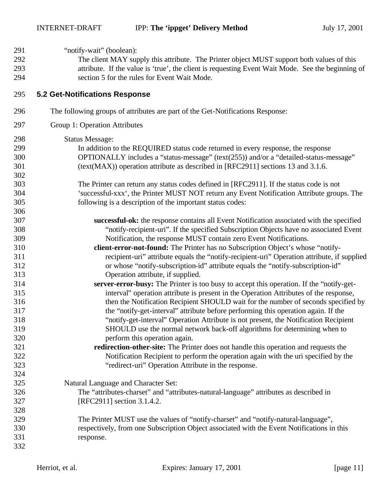| 291 | "notify-wait" (boolean):                                                                          |
|-----|---------------------------------------------------------------------------------------------------|
| 292 | The client MAY supply this attribute. The Printer object MUST support both values of this         |
| 293 | attribute. If the value is 'true', the client is requesting Event Wait Mode. See the beginning of |
| 294 | section 5 for the rules for Event Wait Mode.                                                      |
| 295 | 5.2 Get-Notifications Response                                                                    |
| 296 | The following groups of attributes are part of the Get-Notifications Response:                    |
| 297 | Group 1: Operation Attributes                                                                     |
| 298 | <b>Status Message:</b>                                                                            |
| 299 | In addition to the REQUIRED status code returned in every response, the response                  |
| 300 | OPTIONALLY includes a "status-message" (text(255)) and/or a "detailed-status-message"             |
| 301 | (text(MAX)) operation attribute as described in [RFC2911] sections 13 and 3.1.6.                  |
| 302 |                                                                                                   |
| 303 | The Printer can return any status codes defined in [RFC2911]. If the status code is not           |
| 304 | 'successful-xxx', the Printer MUST NOT return any Event Notification Attribute groups. The        |
| 305 | following is a description of the important status codes:                                         |
| 306 |                                                                                                   |
| 307 | successful-ok: the response contains all Event Notification associated with the specified         |
| 308 | "notify-recipient-uri". If the specified Subscription Objects have no associated Event            |
| 309 | Notification, the response MUST contain zero Event Notifications.                                 |
| 310 | client-error-not-found: The Printer has no Subscription Object's whose "notify-                   |
| 311 | recipient-uri" attribute equals the "notify-recipient-uri" Operation attribute, if supplied       |
| 312 | or whose "notify-subscription-id" attribute equals the "notify-subscription-id"                   |
| 313 | Operation attribute, if supplied.                                                                 |
| 314 | server-error-busy: The Printer is too busy to accept this operation. If the "notify-get-          |
| 315 | interval" operation attribute is present in the Operation Attributes of the response,             |
| 316 | then the Notification Recipient SHOULD wait for the number of seconds specified by                |
| 317 | the "notify-get-interval" attribute before performing this operation again. If the                |
| 318 | "notify-get-interval" Operation Attribute is not present, the Notification Recipient              |
| 319 | SHOULD use the normal network back-off algorithms for determining when to                         |
| 320 | perform this operation again.                                                                     |
| 321 | redirection-other-site: The Printer does not handle this operation and requests the               |
| 322 | Notification Recipient to perform the operation again with the uri specified by the               |
| 323 | "redirect-uri" Operation Attribute in the response.                                               |
| 324 |                                                                                                   |
| 325 | Natural Language and Character Set:                                                               |
| 326 | The "attributes-charset" and "attributes-natural-language" attributes as described in             |
| 327 | [RFC2911] section 3.1.4.2.                                                                        |
| 328 |                                                                                                   |
| 329 | The Printer MUST use the values of "notify-charset" and "notify-natural-language",                |
| 330 | respectively, from one Subscription Object associated with the Event Notifications in this        |
| 331 | response.                                                                                         |
| 332 |                                                                                                   |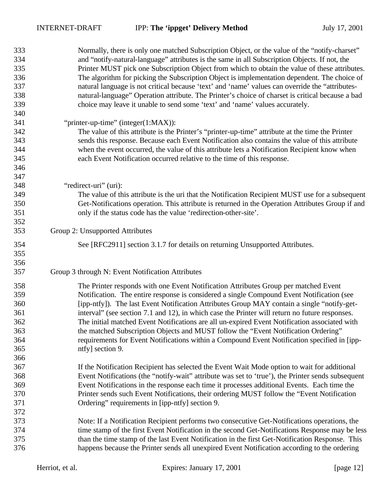| 333 | Normally, there is only one matched Subscription Object, or the value of the "notify-charset"     |
|-----|---------------------------------------------------------------------------------------------------|
| 334 | and "notify-natural-language" attributes is the same in all Subscription Objects. If not, the     |
| 335 | Printer MUST pick one Subscription Object from which to obtain the value of these attributes.     |
| 336 | The algorithm for picking the Subscription Object is implementation dependent. The choice of      |
| 337 | natural language is not critical because 'text' and 'name' values can override the "attributes-   |
| 338 | natural-language" Operation attribute. The Printer's choice of charset is critical because a bad  |
| 339 | choice may leave it unable to send some 'text' and 'name' values accurately.                      |
| 340 |                                                                                                   |
| 341 | "printer-up-time" (integer(1:MAX)):                                                               |
| 342 | The value of this attribute is the Printer's "printer-up-time" attribute at the time the Printer  |
| 343 | sends this response. Because each Event Notification also contains the value of this attribute    |
| 344 | when the event occurred, the value of this attribute lets a Notification Recipient know when      |
| 345 | each Event Notification occurred relative to the time of this response.                           |
| 346 |                                                                                                   |
| 347 |                                                                                                   |
| 348 | "redirect-uri" (uri):                                                                             |
| 349 | The value of this attribute is the uri that the Notification Recipient MUST use for a subsequent  |
| 350 | Get-Notifications operation. This attribute is returned in the Operation Attributes Group if and  |
| 351 | only if the status code has the value 'redirection-other-site'.                                   |
| 352 |                                                                                                   |
| 353 | Group 2: Unsupported Attributes                                                                   |
|     |                                                                                                   |
| 354 | See [RFC2911] section 3.1.7 for details on returning Unsupported Attributes.                      |
| 355 |                                                                                                   |
| 356 |                                                                                                   |
| 357 | Group 3 through N: Event Notification Attributes                                                  |
| 358 | The Printer responds with one Event Notification Attributes Group per matched Event               |
| 359 |                                                                                                   |
|     | Notification. The entire response is considered a single Compound Event Notification (see         |
| 360 | [ipp-ntfy]). The last Event Notification Attributes Group MAY contain a single "notify-get-       |
| 361 | interval" (see section 7.1 and 12), in which case the Printer will return no future responses.    |
| 362 | The initial matched Event Notifications are all un-expired Event Notification associated with     |
| 363 | the matched Subscription Objects and MUST follow the "Event Notification Ordering"                |
| 364 | requirements for Event Notifications within a Compound Event Notification specified in [ipp-      |
| 365 | ntfy] section 9.                                                                                  |
| 366 |                                                                                                   |
| 367 | If the Notification Recipient has selected the Event Wait Mode option to wait for additional      |
| 368 | Event Notifications (the "notify-wait" attribute was set to 'true'), the Printer sends subsequent |
| 369 | Event Notifications in the response each time it processes additional Events. Each time the       |
| 370 | Printer sends such Event Notifications, their ordering MUST follow the "Event Notification"       |
| 371 | Ordering" requirements in [ipp-ntfy] section 9.                                                   |
| 372 |                                                                                                   |
| 373 | Note: If a Notification Recipient performs two consecutive Get-Notifications operations, the      |
| 374 | time stamp of the first Event Notification in the second Get-Notifications Response may be less   |
| 375 | than the time stamp of the last Event Notification in the first Get-Notification Response. This   |
| 376 | happens because the Printer sends all unexpired Event Notification according to the ordering      |
|     |                                                                                                   |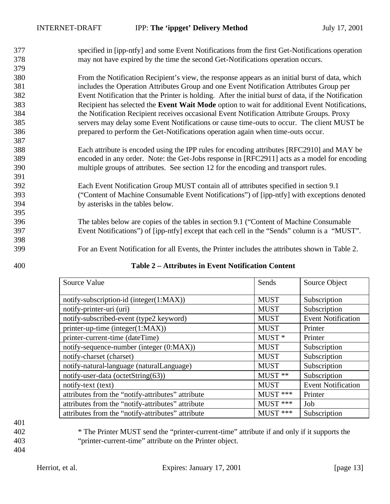| 377        | specified in [ipp-ntfy] and some Event Notifications from the first Get-Notifications operation                                                                                                                                                                                                    |
|------------|----------------------------------------------------------------------------------------------------------------------------------------------------------------------------------------------------------------------------------------------------------------------------------------------------|
| 378        | may not have expired by the time the second Get-Notifications operation occurs.                                                                                                                                                                                                                    |
| 379        |                                                                                                                                                                                                                                                                                                    |
| 380        | From the Notification Recipient's view, the response appears as an initial burst of data, which                                                                                                                                                                                                    |
| 381        | includes the Operation Attributes Group and one Event Notification Attributes Group per                                                                                                                                                                                                            |
| 382        | Event Notification that the Printer is holding. After the initial burst of data, if the Notification                                                                                                                                                                                               |
| 383        | Recipient has selected the <b>Event Wait Mode</b> option to wait for additional Event Notifications,                                                                                                                                                                                               |
| 384        | the Notification Recipient receives occasional Event Notification Attribute Groups. Proxy                                                                                                                                                                                                          |
| 385        | servers may delay some Event Notifications or cause time-outs to occur. The client MUST be                                                                                                                                                                                                         |
| 386        | prepared to perform the Get-Notifications operation again when time-outs occur.                                                                                                                                                                                                                    |
| 387        |                                                                                                                                                                                                                                                                                                    |
| 388        | Each attribute is encoded using the IPP rules for encoding attributes [RFC2910] and MAY be                                                                                                                                                                                                         |
| 389        | encoded in any order. Note: the Get-Jobs response in [RFC2911] acts as a model for encoding                                                                                                                                                                                                        |
| 390        | multiple groups of attributes. See section 12 for the encoding and transport rules.                                                                                                                                                                                                                |
| 391        |                                                                                                                                                                                                                                                                                                    |
| 392        | Each Event Notification Group MUST contain all of attributes specified in section 9.1                                                                                                                                                                                                              |
| 393        | ("Content of Machine Consumable Event Notifications") of [ipp-ntfy] with exceptions denoted                                                                                                                                                                                                        |
| 394        | by asterisks in the tables below.                                                                                                                                                                                                                                                                  |
| 395        |                                                                                                                                                                                                                                                                                                    |
| 396        | The tables below are copies of the tables in section 9.1 ("Content of Machine Consumable"                                                                                                                                                                                                          |
| 397        | Event Notifications") of [ipp-ntfy] except that each cell in the "Sends" column is a "MUST".                                                                                                                                                                                                       |
| 398        |                                                                                                                                                                                                                                                                                                    |
| 399        | For an Event Notification for all Events, the Printer includes the attributes shown in Table 2.                                                                                                                                                                                                    |
| $\sqrt{2}$ | $\mathbf{A}$ and a set of $\mathbf{A}$ and $\mathbf{A}$ and $\mathbf{A}$ and $\mathbf{A}$ and $\mathbf{A}$ and $\mathbf{A}$ and $\mathbf{A}$ and $\mathbf{A}$ and $\mathbf{A}$ and $\mathbf{A}$ and $\mathbf{A}$ and $\mathbf{A}$ and $\mathbf{A}$ and $\mathbf{A}$ and $\mathbf{A}$ and $\mathbf$ |

| Source Value                                      | Sends             | Source Object             |
|---------------------------------------------------|-------------------|---------------------------|
|                                                   |                   |                           |
| notify-subscription-id (integer(1:MAX))           | <b>MUST</b>       | Subscription              |
| notify-printer-uri (uri)                          | <b>MUST</b>       | Subscription              |
| notify-subscribed-event (type2 keyword)           | <b>MUST</b>       | <b>Event Notification</b> |
| printer-up-time (integer(1:MAX))                  | <b>MUST</b>       | Printer                   |
| printer-current-time (dateTime)                   | MUST <sup>*</sup> | Printer                   |
| notify-sequence-number (integer (0:MAX))          | <b>MUST</b>       | Subscription              |
| notify-charset (charset)                          | <b>MUST</b>       | Subscription              |
| notify-natural-language (naturalLanguage)         | <b>MUST</b>       | Subscription              |
| notify-user-data (octetString(63))                | MUST **           | Subscription              |
| notify-text (text)                                | <b>MUST</b>       | <b>Event Notification</b> |
| attributes from the "notify-attributes" attribute | $MUST$ ***        | Printer                   |
| attributes from the "notify-attributes" attribute | $MUST$ ***        | Job                       |
| attributes from the "notify-attributes" attribute | $MUST$ ***        | Subscription              |

#### **Table 2 – Attributes in Event Notification Content**

 \* The Printer MUST send the "printer-current-time" attribute if and only if it supports the "printer-current-time" attribute on the Printer object.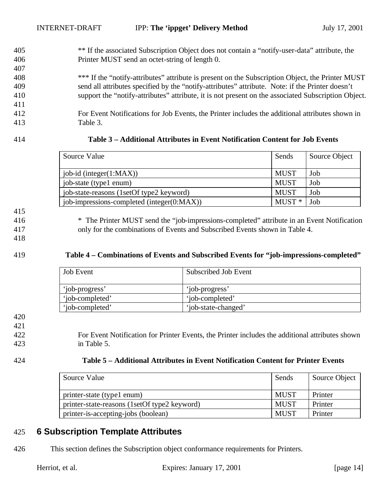405 \*\* If the associated Subscription Object does not contain a "notify-user-data" attribute, the 406 Printer MUST send an octet-string of length 0.

408 \*\*\* If the "notify-attributes" attribute is present on the Subscription Object, the Printer MUST 409 send all attributes specified by the "notify-attributes" attribute. Note: if the Printer doesn't 410 support the "notify-attributes" attribute, it is not present on the associated Subscription Object.

412 For Event Notifications for Job Events, the Printer includes the additional attributes shown in 413 Table 3.

407

411

#### 414 **Table 3 – Additional Attributes in Event Notification Content for Job Events**

| Source Value                               | Sends       | Source Object |
|--------------------------------------------|-------------|---------------|
| job-id (integer $(1:MAX)$ )                | <b>MUST</b> | Job           |
| job-state (type1 enum)                     | <b>MUST</b> | Job           |
| job-state-reasons (1setOf type2 keyword)   | <b>MUST</b> | Job           |
| job-impressions-completed (integer(0:MAX)) | $MUST*$     | Job           |

# 415

- 416 \* The Printer MUST send the "job-impressions-completed" attribute in an Event Notification
- 417 only for the combinations of Events and Subscribed Events shown in Table 4.

#### 418

#### 419 **Table 4 – Combinations of Events and Subscribed Events for "job-impressions-completed"**

| <b>Job Event</b> | Subscribed Job Event |
|------------------|----------------------|
| 'iob-progress'   | 'iob-progress'       |
| 'iob-completed'  | 'iob-completed'      |
| 'iob-completed'  | 'job-state-changed'  |

421

422 For Event Notification for Printer Events, the Printer includes the additional attributes shown 423 in Table 5.

#### 424 **Table 5 – Additional Attributes in Event Notification Content for Printer Events**

| Source Value                                 | Sends       | Source Object |
|----------------------------------------------|-------------|---------------|
| printer-state (type1 enum)                   | <b>MUST</b> | Printer       |
| printer-state-reasons (1setOf type2 keyword) | <b>MUST</b> | Printer       |
| printer-is-accepting-jobs (boolean)          | <b>MUST</b> | Printer       |

## 425 **6 Subscription Template Attributes**

426 This section defines the Subscription object conformance requirements for Printers.

<sup>420</sup>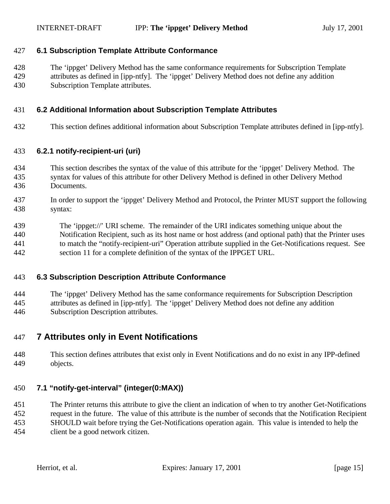#### **6.1 Subscription Template Attribute Conformance**

 The 'ippget' Delivery Method has the same conformance requirements for Subscription Template attributes as defined in [ipp-ntfy]. The 'ippget' Delivery Method does not define any addition Subscription Template attributes.

#### **6.2 Additional Information about Subscription Template Attributes**

This section defines additional information about Subscription Template attributes defined in [ipp-ntfy].

#### **6.2.1 notify-recipient-uri (uri)**

- This section describes the syntax of the value of this attribute for the 'ippget' Delivery Method. The
- syntax for values of this attribute for other Delivery Method is defined in other Delivery Method Documents.
- In order to support the 'ippget' Delivery Method and Protocol, the Printer MUST support the following syntax:
- The 'ippget://' URI scheme. The remainder of the URI indicates something unique about the Notification Recipient, such as its host name or host address (and optional path) that the Printer uses to match the "notify-recipient-uri" Operation attribute supplied in the Get-Notifications request. See section 11 for a complete definition of the syntax of the IPPGET URL.

#### **6.3 Subscription Description Attribute Conformance**

 The 'ippget' Delivery Method has the same conformance requirements for Subscription Description attributes as defined in [ipp-ntfy]. The 'ippget' Delivery Method does not define any addition Subscription Description attributes.

## **7 Attributes only in Event Notifications**

 This section defines attributes that exist only in Event Notifications and do no exist in any IPP-defined objects.

### **7.1 "notify-get-interval" (integer(0:MAX))**

The Printer returns this attribute to give the client an indication of when to try another Get-Notifications

 request in the future. The value of this attribute is the number of seconds that the Notification Recipient SHOULD wait before trying the Get-Notifications operation again. This value is intended to help the

client be a good network citizen.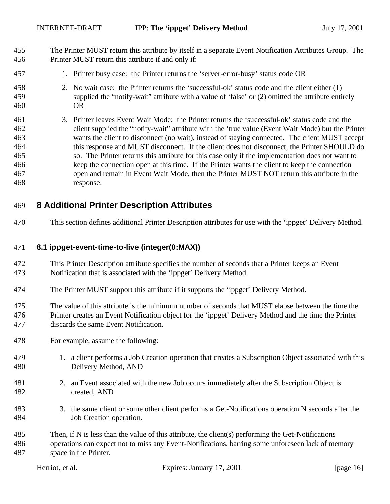- The Printer MUST return this attribute by itself in a separate Event Notification Attributes Group. The Printer MUST return this attribute if and only if:
- 1. Printer busy case: the Printer returns the 'server-error-busy' status code OR
- 2. No wait case: the Printer returns the 'successful-ok' status code and the client either (1) supplied the "notify-wait" attribute with a value of 'false' or (2) omitted the attribute entirely OR
- 3. Printer leaves Event Wait Mode: the Printer returns the 'successful-ok' status code and the client supplied the "notify-wait" attribute with the 'true value (Event Wait Mode) but the Printer wants the client to disconnect (no wait), instead of staying connected. The client MUST accept this response and MUST disconnect. If the client does not disconnect, the Printer SHOULD do so. The Printer returns this attribute for this case only if the implementation does not want to keep the connection open at this time. If the Printer wants the client to keep the connection open and remain in Event Wait Mode, then the Printer MUST NOT return this attribute in the response.

## **8 Additional Printer Description Attributes**

This section defines additional Printer Description attributes for use with the 'ippget' Delivery Method.

#### **8.1 ippget-event-time-to-live (integer(0:MAX))**

- This Printer Description attribute specifies the number of seconds that a Printer keeps an Event Notification that is associated with the 'ippget' Delivery Method.
- The Printer MUST support this attribute if it supports the 'ippget' Delivery Method.
- The value of this attribute is the minimum number of seconds that MUST elapse between the time the Printer creates an Event Notification object for the 'ippget' Delivery Method and the time the Printer discards the same Event Notification.
- For example, assume the following:
- 1. a client performs a Job Creation operation that creates a Subscription Object associated with this Delivery Method, AND
- 2. an Event associated with the new Job occurs immediately after the Subscription Object is created, AND
- 3. the same client or some other client performs a Get-Notifications operation N seconds after the Job Creation operation.
- Then, if N is less than the value of this attribute, the client(s) performing the Get-Notifications operations can expect not to miss any Event-Notifications, barring some unforeseen lack of memory space in the Printer.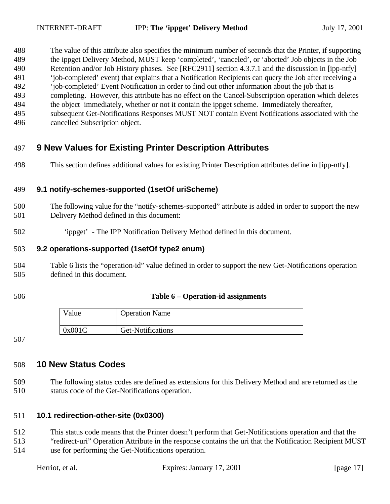The value of this attribute also specifies the minimum number of seconds that the Printer, if supporting the ippget Delivery Method, MUST keep 'completed', 'canceled', or 'aborted' Job objects in the Job Retention and/or Job History phases. See [RFC2911] section 4.3.7.1 and the discussion in [ipp-ntfy] 'job-completed' event) that explains that a Notification Recipients can query the Job after receiving a 'job-completed' Event Notification in order to find out other information about the job that is completing. However, this attribute has no effect on the Cancel-Subscription operation which deletes the object immediately, whether or not it contain the ippget scheme. Immediately thereafter,

 subsequent Get-Notifications Responses MUST NOT contain Event Notifications associated with the cancelled Subscription object.

# **9 New Values for Existing Printer Description Attributes**

This section defines additional values for existing Printer Description attributes define in [ipp-ntfy].

#### **9.1 notify-schemes-supported (1setOf uriScheme)**

- The following value for the "notify-schemes-supported" attribute is added in order to support the new Delivery Method defined in this document:
- 'ippget' The IPP Notification Delivery Method defined in this document.

#### **9.2 operations-supported (1setOf type2 enum)**

- Table 6 lists the "operation-id" value defined in order to support the new Get-Notifications operation defined in this document.
- 

#### **Table 6 – Operation-id assignments**

| Value  | <b>Operation Name</b> |
|--------|-----------------------|
| 0x001C | Get-Notifications     |

## **10 New Status Codes**

 The following status codes are defined as extensions for this Delivery Method and are returned as the status code of the Get-Notifications operation.

### **10.1 redirection-other-site (0x0300)**

- This status code means that the Printer doesn't perform that Get-Notifications operation and that the
- "redirect-uri" Operation Attribute in the response contains the uri that the Notification Recipient MUST use for performing the Get-Notifications operation.

| Herriot, et al. | Expires: January 17, 2001 | [page $17$ ] |  |
|-----------------|---------------------------|--------------|--|
|                 |                           |              |  |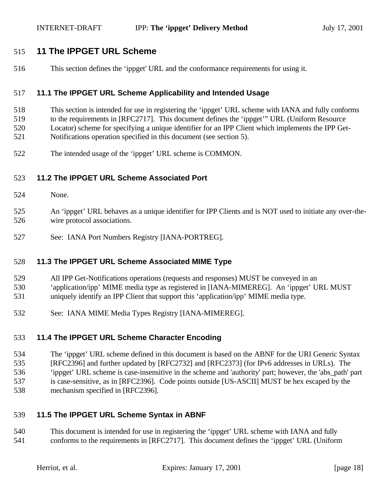## **11 The IPPGET URL Scheme**

This section defines the 'ippget' URL and the conformance requirements for using it.

#### **11.1 The IPPGET URL Scheme Applicability and Intended Usage**

- This section is intended for use in registering the 'ippget' URL scheme with IANA and fully conforms
- to the requirements in [RFC2717]. This document defines the 'ippget'" URL (Uniform Resource Locator) scheme for specifying a unique identifier for an IPP Client which implements the IPP Get-
- Notifications operation specified in this document (see section 5).
- The intended usage of the 'ippget' URL scheme is COMMON.

### **11.2 The IPPGET URL Scheme Associated Port**

- None.
- An 'ippget' URL behaves as a unique identifier for IPP Clients and is NOT used to initiate any over-the-wire protocol associations.
- See: IANA Port Numbers Registry [IANA-PORTREG].

### **11.3 The IPPGET URL Scheme Associated MIME Type**

- All IPP Get-Notifications operations (requests and responses) MUST be conveyed in an
- 'application/ipp' MIME media type as registered in [IANA-MIMEREG]. An 'ippget' URL MUST
- uniquely identify an IPP Client that support this 'application/ipp' MIME media type.
- See: IANA MIME Media Types Registry [IANA-MIMEREG].

### **11.4 The IPPGET URL Scheme Character Encoding**

 The 'ippget' URL scheme defined in this document is based on the ABNF for the URI Generic Syntax [RFC2396] and further updated by [RFC2732] and [RFC2373] (for IPv6 addresses in URLs). The 'ippget' URL scheme is case-insensitive in the scheme and 'authority' part; however, the 'abs\_path' part is case-sensitive, as in [RFC2396]. Code points outside [US-ASCII] MUST be hex escaped by the mechanism specified in [RFC2396].

### **11.5 The IPPGET URL Scheme Syntax in ABNF**

 This document is intended for use in registering the 'ippget' URL scheme with IANA and fully conforms to the requirements in [RFC2717]. This document defines the 'ippget' URL (Uniform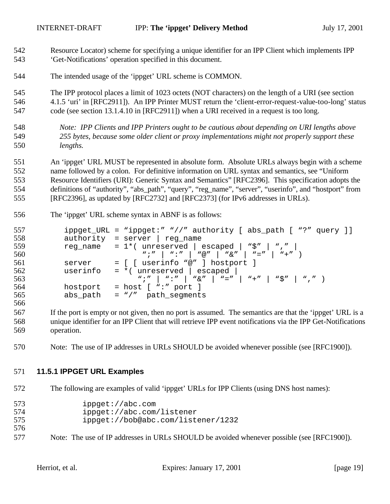- Resource Locator) scheme for specifying a unique identifier for an IPP Client which implements IPP 'Get-Notifications' operation specified in this document.
- The intended usage of the 'ippget' URL scheme is COMMON.

The IPP protocol places a limit of 1023 octets (NOT characters) on the length of a URI (see section

 4.1.5 'uri' in [RFC2911]). An IPP Printer MUST return the 'client-error-request-value-too-long' status code (see section 13.1.4.10 in [RFC2911]) when a URI received in a request is too long.

 *Note: IPP Clients and IPP Printers ought to be cautious about depending on URI lengths above 255 bytes, because some older client or proxy implementations might not properly support these lengths.* 

 An 'ippget' URL MUST be represented in absolute form. Absolute URLs always begin with a scheme name followed by a colon. For definitive information on URL syntax and semantics, see "Uniform Resource Identifiers (URI): Generic Syntax and Semantics" [RFC2396]. This specification adopts the definitions of "authority", "abs\_path", "query", "reg\_name", "server", "userinfo", and "hostport" from [RFC2396], as updated by [RFC2732] and [RFC2373] (for IPv6 addresses in URLs).

The 'ippget' URL scheme syntax in ABNF is as follows:

| 557 |          | ippget_URL = "ippget:" "//" authority [ abs_path [ "?" query ]]                                    |
|-----|----------|----------------------------------------------------------------------------------------------------|
| 558 |          | $authority = server   reg_name$                                                                    |
| 559 |          | reg_name = $1*($ unreserved   escaped   " $\zeta$ "   ","                                          |
| 560 |          | $W''$ ; $W''$   $W''$   $W\textcircled{a}$ $W$   $W\textcircled{a}$ $W'$   $W = W$   $W + W$   $W$ |
| 561 | server   | $= [$ [ userinfo "@" ] hostport ]                                                                  |
| 562 |          | userinfo = $*($ unreserved   escaped                                                               |
| 563 |          |                                                                                                    |
| 564 | hostport | $=$ host $[$ ":" port $]$                                                                          |
| 565 |          | abs_path = $\sqrt{''}$ path_seqments                                                               |
| 566 |          |                                                                                                    |

 If the port is empty or not given, then no port is assumed. The semantics are that the 'ippget' URL is a unique identifier for an IPP Client that will retrieve IPP event notifications via the IPP Get-Notifications operation.

Note: The use of IP addresses in URLs SHOULD be avoided whenever possible (see [RFC1900]).

#### **11.5.1 IPPGET URL Examples**

The following are examples of valid 'ippget' URLs for IPP Clients (using DNS host names):

| 573 | ippect://abc.com                   |
|-----|------------------------------------|
| 574 | ippect://abc.com/listener          |
| 575 | ippect://bob@abc.com/listener/1232 |

Note: The use of IP addresses in URLs SHOULD be avoided whenever possible (see [RFC1900]).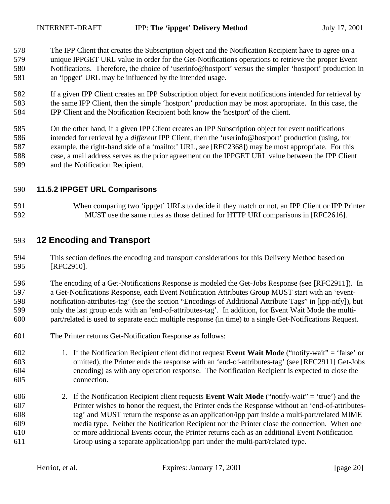The IPP Client that creates the Subscription object and the Notification Recipient have to agree on a unique IPPGET URL value in order for the Get-Notifications operations to retrieve the proper Event Notifications. Therefore, the choice of 'userinfo@hostport' versus the simpler 'hostport' production in an 'ippget' URL may be influenced by the intended usage.

 If a given IPP Client creates an IPP Subscription object for event notifications intended for retrieval by the same IPP Client, then the simple 'hostport' production may be most appropriate. In this case, the IPP Client and the Notification Recipient both know the 'hostport' of the client.

 On the other hand, if a given IPP Client creates an IPP Subscription object for event notifications intended for retrieval by a *different* IPP Client, then the 'userinfo@hostport' production (using, for example, the right-hand side of a 'mailto:' URL, see [RFC2368]) may be most appropriate. For this case, a mail address serves as the prior agreement on the IPPGET URL value between the IPP Client and the Notification Recipient.

#### **11.5.2 IPPGET URL Comparisons**

 When comparing two 'ippget' URLs to decide if they match or not, an IPP Client or IPP Printer MUST use the same rules as those defined for HTTP URI comparisons in [RFC2616].

## **12 Encoding and Transport**

 This section defines the encoding and transport considerations for this Delivery Method based on [RFC2910].

 The encoding of a Get-Notifications Response is modeled the Get-Jobs Response (see [RFC2911]). In a Get-Notifications Response, each Event Notification Attributes Group MUST start with an 'event- notification-attributes-tag' (see the section "Encodings of Additional Attribute Tags" in [ipp-ntfy]), but only the last group ends with an 'end-of-attributes-tag'. In addition, for Event Wait Mode the multi-part/related is used to separate each multiple response (in time) to a single Get-Notifications Request.

- The Printer returns Get-Notification Response as follows:
- 1. If the Notification Recipient client did not request **Event Wait Mode** ("notify-wait" = 'false' or omitted), the Printer ends the response with an 'end-of-attributes-tag' (see [RFC2911] Get-Jobs encoding) as with any operation response. The Notification Recipient is expected to close the connection.
- 2. If the Notification Recipient client requests **Event Wait Mode** ("notify-wait" = 'true') and the Printer wishes to honor the request, the Printer ends the Response without an 'end-of-attributes- tag' and MUST return the response as an application/ipp part inside a multi-part/related MIME media type. Neither the Notification Recipient nor the Printer close the connection. When one or more additional Events occur, the Printer returns each as an additional Event Notification Group using a separate application/ipp part under the multi-part/related type.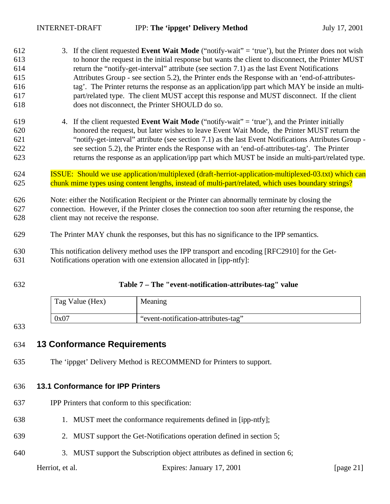| 612 | 3. If the client requested Event Wait Mode ("notify-wait" = 'true'), but the Printer does not wish    |
|-----|-------------------------------------------------------------------------------------------------------|
| 613 | to honor the request in the initial response but wants the client to disconnect, the Printer MUST     |
| 614 | return the "notify-get-interval" attribute (see section 7.1) as the last Event Notifications          |
| 615 | Attributes Group - see section 5.2), the Printer ends the Response with an 'end-of-attributes-        |
| 616 | tag'. The Printer returns the response as an application/ipp part which MAY be inside an multi-       |
| 617 | part/related type. The client MUST accept this response and MUST disconnect. If the client            |
| 618 | does not disconnect, the Printer SHOULD do so.                                                        |
| 619 | 4. If the client requested <b>Event Wait Mode</b> ("notify-wait" = 'true'), and the Printer initially |
| 620 | honored the request, but later wishes to leave Event Wait Mode, the Printer MUST return the           |
| 621 | "notify-get-interval" attribute (see section 7.1) as the last Event Notifications Attributes Group -  |
| 622 | see section 5.2), the Printer ends the Response with an 'end-of-attributes-tag'. The Printer          |
| 623 | returns the response as an application/ipp part which MUST be inside an multi-part/related type.      |
| 624 | ISSUE: Should we use application/multiplexed (draft-herriot-application-multiplexed-03.txt) which can |
| 625 | chunk mime types using content lengths, instead of multi-part/related, which uses boundary strings?   |
| 626 | Note: either the Notification Recipient or the Printer can abnormally terminate by closing the        |
| 627 | connection. However, if the Printer closes the connection too soon after returning the response, the  |
| 628 | client may not receive the response.                                                                  |
| 629 | The Printer MAY chunk the responses, but this has no significance to the IPP semantics.               |
| 630 | This notification delivery method uses the IPP transport and encoding [RFC2910] for the Get-          |
| 631 | Notifications operation with one extension allocated in [ipp-ntfy]:                                   |
| 632 | Table 7 - The "event-notification-attributes-tag" value                                               |

| Tag Value (Hex) | Meaning                             |
|-----------------|-------------------------------------|
| 0x07            | "event-notification-attributes-tag" |

#### 

## **13 Conformance Requirements**

The 'ippget' Delivery Method is RECOMMEND for Printers to support.

## **13.1 Conformance for IPP Printers**

- IPP Printers that conform to this specification:
- 1. MUST meet the conformance requirements defined in [ipp-ntfy];
- 2. MUST support the Get-Notifications operation defined in section 5;
- 3. MUST support the Subscription object attributes as defined in section 6;

Herriot, et al. Expires: January 17, 2001 [page 21]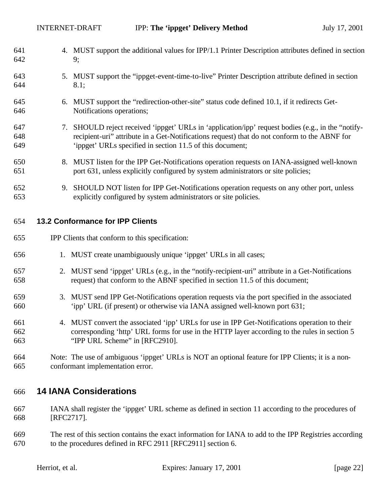| 641 |    | 4. MUST support the additional values for IPP/1.1 Printer Description attributes defined in section |
|-----|----|-----------------------------------------------------------------------------------------------------|
| 642 |    | 9;                                                                                                  |
| 643 |    | 5. MUST support the "ippget-event-time-to-live" Printer Description attribute defined in section    |
| 644 |    | 8.1;                                                                                                |
| 645 |    | 6. MUST support the "redirection-other-site" status code defined 10.1, if it redirects Get-         |
| 646 |    | Notifications operations;                                                                           |
| 647 | 7. | SHOULD reject received 'ippget' URLs in 'application/ipp' request bodies (e.g., in the "notify-     |
| 648 |    | recipient-uri" attribute in a Get-Notifications request) that do not conform to the ABNF for        |
| 649 |    | 'ippget' URLs specified in section 11.5 of this document;                                           |
| 650 |    | 8. MUST listen for the IPP Get-Notifications operation requests on IANA-assigned well-known         |
| 651 |    | port 631, unless explicitly configured by system administrators or site policies;                   |
| 652 |    | 9. SHOULD NOT listen for IPP Get-Notifications operation requests on any other port, unless         |
| 653 |    | explicitly configured by system administrators or site policies.                                    |
|     |    |                                                                                                     |
| 654 |    | <b>13.2 Conformance for IPP Clients</b>                                                             |
| 655 |    | IPP Clients that conform to this specification:                                                     |
| 656 |    | 1. MUST create unambiguously unique 'ippget' URLs in all cases;                                     |
| 657 |    | 2. MUST send 'ippget' URLs (e.g., in the "notify-recipient-uri" attribute in a Get-Notifications    |
| 658 |    | request) that conform to the ABNF specified in section 11.5 of this document;                       |
| 659 |    | 3. MUST send IPP Get-Notifications operation requests via the port specified in the associated      |
| 660 |    | 'ipp' URL (if present) or otherwise via IANA assigned well-known port 631;                          |
| 661 |    | 4. MUST convert the associated 'ipp' URLs for use in IPP Get-Notifications operation to their       |
| 662 |    | corresponding 'http' URL forms for use in the HTTP layer according to the rules in section 5        |
| 663 |    | "IPP URL Scheme" in [RFC2910].                                                                      |

 Note: The use of ambiguous 'ippget' URLs is NOT an optional feature for IPP Clients; it is a non-conformant implementation error.

## **14 IANA Considerations**

 IANA shall register the 'ippget' URL scheme as defined in section 11 according to the procedures of [RFC2717].

 The rest of this section contains the exact information for IANA to add to the IPP Registries according to the procedures defined in RFC 2911 [RFC2911] section 6.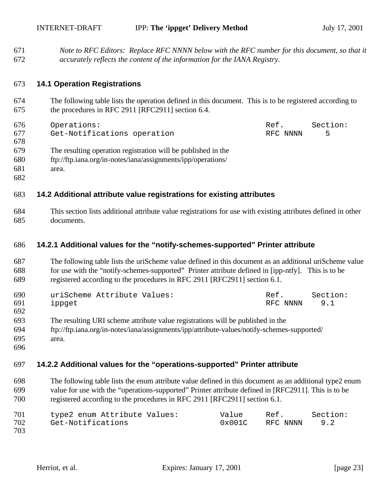*Note to RFC Editors: Replace RFC NNNN below with the RFC number for this document, so that it accurately reflects the content of the information for the IANA Registry.*

#### **14.1 Operation Registrations**

- The following table lists the operation defined in this document. This is to be registered according to the procedures in RFC 2911 [RFC2911] section 6.4.
- Operations: Ref. Section: Get-Notifications operation RFC NNNN 5 The resulting operation registration will be published in the ftp://ftp.iana.org/in-notes/iana/assignments/ipp/operations/ area.
- 

### **14.2 Additional attribute value registrations for existing attributes**

 This section lists additional attribute value registrations for use with existing attributes defined in other documents.

#### **14.2.1 Additional values for the "notify-schemes-supported" Printer attribute**

 The following table lists the uriScheme value defined in this document as an additional uriScheme value for use with the "notify-schemes-supported" Printer attribute defined in [ipp-ntfy]. This is to be registered according to the procedures in RFC 2911 [RFC2911] section 6.1.

| 690 | uriScheme Attribute Values: | Ref.     | Section: |
|-----|-----------------------------|----------|----------|
| 691 | ippget                      | RFC NNNN | 9.1      |
| 692 |                             |          |          |

- The resulting URI scheme attribute value registrations will be published in the
- ftp://ftp.iana.org/in-notes/iana/assignments/ipp/attribute-values/notify-schemes-supported/
- area.

### **14.2.2 Additional values for the "operations-supported" Printer attribute**

 The following table lists the enum attribute value defined in this document as an additional type2 enum value for use with the "operations-supported" Printer attribute defined in [RFC2911]. This is to be registered according to the procedures in RFC 2911 [RFC2911] section 6.1.

| 701 | type2 enum Attribute Values: | Value  | Ref.     | Section: |
|-----|------------------------------|--------|----------|----------|
| 702 | Get-Notifications            | 0x001C | RFC NNNN | 9.2      |
| 703 |                              |        |          |          |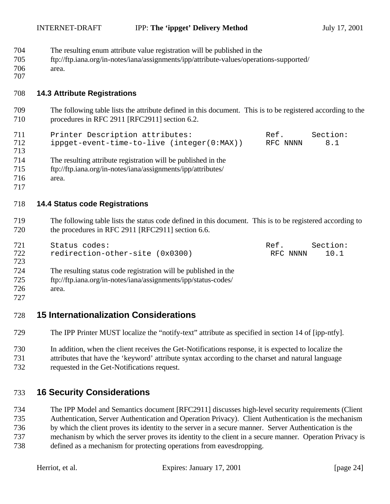INTERNET-DRAFT **IPP: The 'ippget' Delivery Method** July 17, 2001

- The resulting enum attribute value registration will be published in the
- ftp://ftp.iana.org/in-notes/iana/assignments/ipp/attribute-values/operations-supported/
- area.

## **14.3 Attribute Registrations**

 The following table lists the attribute defined in this document. This is to be registered according to the procedures in RFC 2911 [RFC2911] section 6.2.

| 711 | Printer Description attributes:            | Ref.     | Section: |
|-----|--------------------------------------------|----------|----------|
| 712 | ippget-event-time-to-live (integer(0:MAX)) | RFC NNNN | 8.1      |
| 713 |                                            |          |          |

- The resulting attribute registration will be published in the
- ftp://ftp.iana.org/in-notes/iana/assignments/ipp/attributes/
- area.
- 

## **14.4 Status code Registrations**

 The following table lists the status code defined in this document. This is to be registered according to 720 the procedures in RFC 2911 [RFC2911] section 6.6.

| 721 | Status codes:                   | Ref.     | Section: |
|-----|---------------------------------|----------|----------|
| 722 | redirection-other-site (0x0300) | RFC NNNN | 10.1     |
| 723 |                                 |          |          |

The resulting status code registration will be published in the

ftp://ftp.iana.org/in-notes/iana/assignments/ipp/status-codes/

area.

# **15 Internationalization Considerations**

- The IPP Printer MUST localize the "notify-text" attribute as specified in section 14 of [ipp-ntfy].
- In addition, when the client receives the Get-Notifications response, it is expected to localize the attributes that have the 'keyword' attribute syntax according to the charset and natural language requested in the Get-Notifications request.

# **16 Security Considerations**

 The IPP Model and Semantics document [RFC2911] discusses high-level security requirements (Client Authentication, Server Authentication and Operation Privacy). Client Authentication is the mechanism by which the client proves its identity to the server in a secure manner. Server Authentication is the mechanism by which the server proves its identity to the client in a secure manner. Operation Privacy is defined as a mechanism for protecting operations from eavesdropping.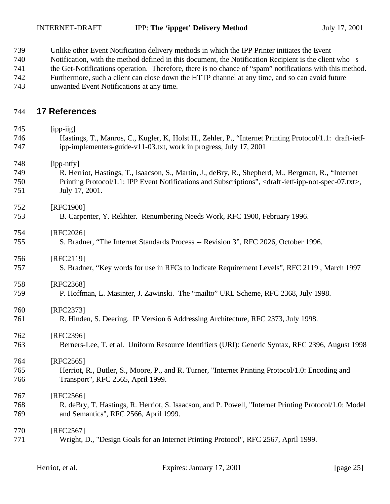- Unlike other Event Notification delivery methods in which the IPP Printer initiates the Event
- Notification, with the method defined in this document, the Notification Recipient is the client who s
- the Get-Notifications operation. Therefore, there is no chance of "spam" notifications with this method.
- Furthermore, such a client can close down the HTTP channel at any time, and so can avoid future
- unwanted Event Notifications at any time.

## **17 References**

| 745 | [ipp-iig]                                                                                                                             |
|-----|---------------------------------------------------------------------------------------------------------------------------------------|
| 746 | Hastings, T., Manros, C., Kugler, K. Holst H., Zehler, P., "Internet Printing Protocol/1.1: draft-ietf-                               |
| 747 | ipp-implementers-guide-v11-03.txt, work in progress, July 17, 2001                                                                    |
| 748 | [ipp-ntfy]                                                                                                                            |
| 749 | R. Herriot, Hastings, T., Isaacson, S., Martin, J., deBry, R., Shepherd, M., Bergman, R., "Internet                                   |
| 750 | Printing Protocol/1.1: IPP Event Notifications and Subscriptions", <draft-ietf-ipp-not-spec-07.txt>,</draft-ietf-ipp-not-spec-07.txt> |
| 751 | July 17, 2001.                                                                                                                        |
| 752 | [RFC1900]                                                                                                                             |
| 753 | B. Carpenter, Y. Rekhter. Renumbering Needs Work, RFC 1900, February 1996.                                                            |
| 754 | [RFC2026]                                                                                                                             |
| 755 | S. Bradner, "The Internet Standards Process -- Revision 3", RFC 2026, October 1996.                                                   |
| 756 | [RFC2119]                                                                                                                             |
| 757 | S. Bradner, "Key words for use in RFCs to Indicate Requirement Levels", RFC 2119, March 1997                                          |
| 758 | [RFC2368]                                                                                                                             |
| 759 | P. Hoffman, L. Masinter, J. Zawinski. The "mailto" URL Scheme, RFC 2368, July 1998.                                                   |
| 760 | [RFC2373]                                                                                                                             |
| 761 | R. Hinden, S. Deering. IP Version 6 Addressing Architecture, RFC 2373, July 1998.                                                     |
| 762 | [RFC2396]                                                                                                                             |
| 763 | Berners-Lee, T. et al. Uniform Resource Identifiers (URI): Generic Syntax, RFC 2396, August 1998                                      |
| 764 | $[RFC2565]$                                                                                                                           |
| 765 | Herriot, R., Butler, S., Moore, P., and R. Turner, "Internet Printing Protocol/1.0: Encoding and                                      |
| 766 | Transport", RFC 2565, April 1999.                                                                                                     |
| 767 | [RFC2566]                                                                                                                             |
| 768 | R. deBry, T. Hastings, R. Herriot, S. Isaacson, and P. Powell, "Internet Printing Protocol/1.0: Model                                 |
| 769 | and Semantics", RFC 2566, April 1999.                                                                                                 |
| 770 | [RFC2567]                                                                                                                             |
| 771 | Wright, D., "Design Goals for an Internet Printing Protocol", RFC 2567, April 1999.                                                   |
|     |                                                                                                                                       |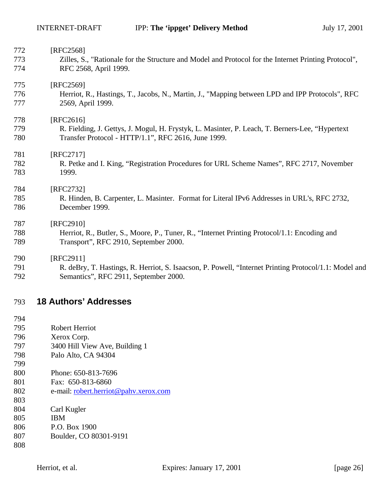| 772 | [RFC2568]                                                                                             |
|-----|-------------------------------------------------------------------------------------------------------|
| 773 | Zilles, S., "Rationale for the Structure and Model and Protocol for the Internet Printing Protocol",  |
| 774 | RFC 2568, April 1999.                                                                                 |
| 775 | [RFC2569]                                                                                             |
| 776 | Herriot, R., Hastings, T., Jacobs, N., Martin, J., "Mapping between LPD and IPP Protocols", RFC       |
| 777 | 2569, April 1999.                                                                                     |
| 778 | [RFC2616]                                                                                             |
| 779 | R. Fielding, J. Gettys, J. Mogul, H. Frystyk, L. Masinter, P. Leach, T. Berners-Lee, "Hypertext"      |
| 780 | Transfer Protocol - HTTP/1.1", RFC 2616, June 1999.                                                   |
| 781 | $[RFC2717]$                                                                                           |
| 782 | R. Petke and I. King, "Registration Procedures for URL Scheme Names", RFC 2717, November              |
| 783 | 1999.                                                                                                 |
| 784 | [RFC2732]                                                                                             |
| 785 | R. Hinden, B. Carpenter, L. Masinter. Format for Literal IPv6 Addresses in URL's, RFC 2732,           |
| 786 | December 1999.                                                                                        |
| 787 | [RFC2910]                                                                                             |
| 788 | Herriot, R., Butler, S., Moore, P., Tuner, R., "Internet Printing Protocol/1.1: Encoding and          |
| 789 | Transport", RFC 2910, September 2000.                                                                 |
| 790 | [RFC2911]                                                                                             |
| 791 | R. deBry, T. Hastings, R. Herriot, S. Isaacson, P. Powell, "Internet Printing Protocol/1.1: Model and |
|     |                                                                                                       |

Semantics", RFC 2911, September 2000.

## **18 Authors' Addresses**

- Robert Herriot
- Xerox Corp.
- 3400 Hill View Ave, Building 1
- Palo Alto, CA 94304
- Phone: 650-813-7696
- Fax: 650-813-6860
- 802 e-mail: <u>robert.herriot@pahv.xerox.com</u>
- 
- Carl Kugler
- IBM
- P.O. Box 1900
- Boulder, CO 80301-9191
-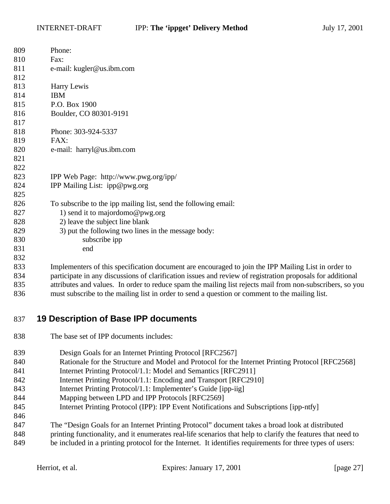| 809 | Phone:                                                                                                     |
|-----|------------------------------------------------------------------------------------------------------------|
| 810 | Fax:                                                                                                       |
| 811 | e-mail: kugler@us.ibm.com                                                                                  |
| 812 |                                                                                                            |
| 813 | Harry Lewis                                                                                                |
| 814 | <b>IBM</b>                                                                                                 |
| 815 | P.O. Box 1900                                                                                              |
| 816 | Boulder, CO 80301-9191                                                                                     |
| 817 |                                                                                                            |
| 818 | Phone: 303-924-5337                                                                                        |
| 819 | FAX:                                                                                                       |
| 820 | e-mail: harryl@us.ibm.com                                                                                  |
| 821 |                                                                                                            |
| 822 |                                                                                                            |
| 823 | IPP Web Page: http://www.pwg.org/ipp/                                                                      |
| 824 | IPP Mailing List: ipp@pwg.org                                                                              |
| 825 |                                                                                                            |
| 826 | To subscribe to the ipp mailing list, send the following email:                                            |
| 827 | 1) send it to majordomo@pwg.org                                                                            |
| 828 | 2) leave the subject line blank                                                                            |
| 829 | 3) put the following two lines in the message body:                                                        |
| 830 | subscribe ipp                                                                                              |
| 831 | end                                                                                                        |
| 832 |                                                                                                            |
| 833 | Implementers of this specification document are encouraged to join the IPP Mailing List in order to        |
| 834 | participate in any discussions of clarification issues and review of registration proposals for additional |
| 835 | attributes and values. In order to reduce spam the mailing list rejects mail from non-subscribers, so yo   |

subscribers, so you must subscribe to the mailing list in order to send a question or comment to the mailing list.

## **19 Description of Base IPP documents**

- The base set of IPP documents includes:
- 839 Design Goals for an Internet Printing Protocol [RFC2567]
- 840 Rationale for the Structure and Model and Protocol for the Internet Printing Protocol [RFC2568]
- 841 Internet Printing Protocol/1.1: Model and Semantics [RFC2911]
- Internet Printing Protocol/1.1: Encoding and Transport [RFC2910]
- Internet Printing Protocol/1.1: Implementer's Guide [ipp-iig]
- Mapping between LPD and IPP Protocols [RFC2569]
- Internet Printing Protocol (IPP): IPP Event Notifications and Subscriptions [ipp-ntfy]
- The "Design Goals for an Internet Printing Protocol" document takes a broad look at distributed
- printing functionality, and it enumerates real-life scenarios that help to clarify the features that need to
- be included in a printing protocol for the Internet. It identifies requirements for three types of users: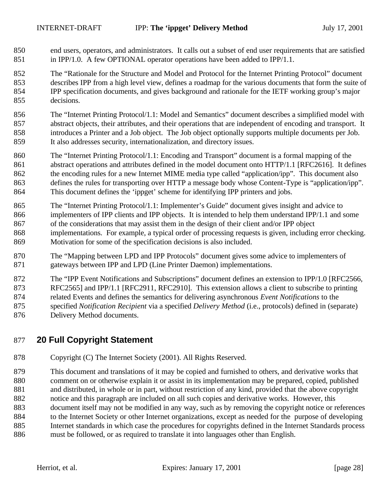- end users, operators, and administrators. It calls out a subset of end user requirements that are satisfied in IPP/1.0. A few OPTIONAL operator operations have been added to IPP/1.1.
- The "Rationale for the Structure and Model and Protocol for the Internet Printing Protocol" document describes IPP from a high level view, defines a roadmap for the various documents that form the suite of IPP specification documents, and gives background and rationale for the IETF working group's major decisions.
- The "Internet Printing Protocol/1.1: Model and Semantics" document describes a simplified model with abstract objects, their attributes, and their operations that are independent of encoding and transport. It introduces a Printer and a Job object. The Job object optionally supports multiple documents per Job. It also addresses security, internationalization, and directory issues.
- The "Internet Printing Protocol/1.1: Encoding and Transport" document is a formal mapping of the 861 abstract operations and attributes defined in the model document onto HTTP/1.1 [RFC2616]. It defines the encoding rules for a new Internet MIME media type called "application/ipp". This document also defines the rules for transporting over HTTP a message body whose Content-Type is "application/ipp". This document defines the 'ippget' scheme for identifying IPP printers and jobs.
- The "Internet Printing Protocol/1.1: Implementer's Guide" document gives insight and advice to implementers of IPP clients and IPP objects. It is intended to help them understand IPP/1.1 and some of the considerations that may assist them in the design of their client and/or IPP object implementations. For example, a typical order of processing requests is given, including error checking. Motivation for some of the specification decisions is also included.
- The "Mapping between LPD and IPP Protocols" document gives some advice to implementers of gateways between IPP and LPD (Line Printer Daemon) implementations.
- The "IPP Event Notifications and Subscriptions" document defines an extension to IPP/1.0 [RFC2566, RFC2565] and IPP/1.1 [RFC2911, RFC2910]. This extension allows a client to subscribe to printing related Events and defines the semantics for delivering asynchronous *Event Notifications* to the specified *Notification Recipient* via a specified *Delivery Method* (i.e., protocols) defined in (separate)
- Delivery Method documents.

# **20 Full Copyright Statement**

- Copyright (C) The Internet Society (2001). All Rights Reserved.
- This document and translations of it may be copied and furnished to others, and derivative works that comment on or otherwise explain it or assist in its implementation may be prepared, copied, published and distributed, in whole or in part, without restriction of any kind, provided that the above copyright notice and this paragraph are included on all such copies and derivative works. However, this
- document itself may not be modified in any way, such as by removing the copyright notice or references 884 to the Internet Society or other Internet organizations, except as needed for the purpose of developing Internet standards in which case the procedures for copyrights defined in the Internet Standards process must be followed, or as required to translate it into languages other than English.